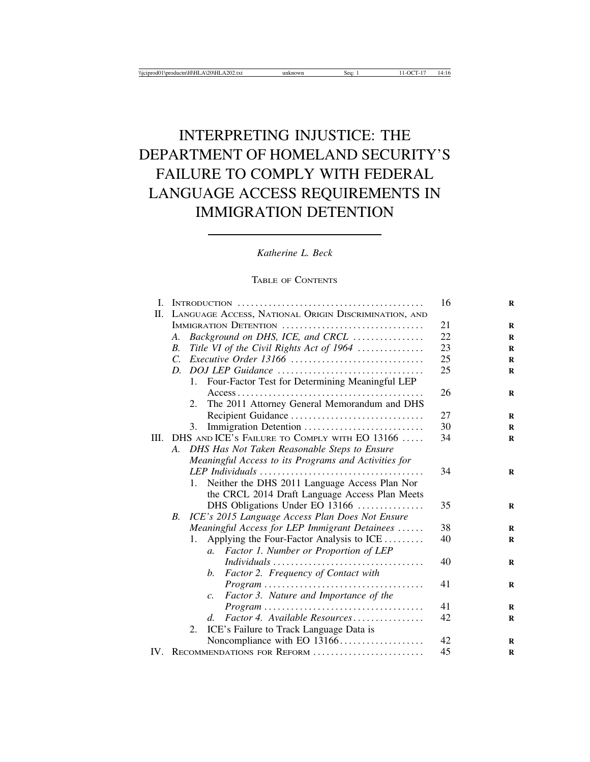# INTERPRETING INJUSTICE: THE DEPARTMENT OF HOMELAND SECURITY'S FAILURE TO COMPLY WITH FEDERAL LANGUAGE ACCESS REQUIREMENTS IN IMMIGRATION DETENTION

*Katherine L. Beck*

TABLE OF CONTENTS

| L    |                       | 16                                                                                           |    |
|------|-----------------------|----------------------------------------------------------------------------------------------|----|
| Π.   |                       | LANGUAGE ACCESS, NATIONAL ORIGIN DISCRIMINATION, AND                                         |    |
|      | IMMIGRATION DETENTION | 21                                                                                           |    |
|      | А.                    | Background on DHS, ICE, and CRCL                                                             | 22 |
|      | $B_{\cdot}$           | Title VI of the Civil Rights Act of 1964                                                     | 23 |
|      | $\mathcal{C}$         |                                                                                              | 25 |
|      |                       |                                                                                              | 25 |
|      |                       | Four-Factor Test for Determining Meaningful LEP<br>$1_{\cdot}$                               |    |
|      |                       | $Access \dots \dots \dots \dots \dots \dots \dots \dots \dots \dots \dots \dots \dots \dots$ | 26 |
|      |                       | The 2011 Attorney General Memorandum and DHS<br>2.                                           |    |
|      |                       | Recipient Guidance                                                                           | 27 |
|      |                       | 3.                                                                                           | 30 |
| III. |                       | DHS AND ICE's FAILURE TO COMPLY WITH EO 13166                                                | 34 |
|      | $A_{\cdot}$           | DHS Has Not Taken Reasonable Steps to Ensure                                                 |    |
|      |                       | Meaningful Access to its Programs and Activities for                                         |    |
|      |                       |                                                                                              | 34 |
|      |                       | Neither the DHS 2011 Language Access Plan Nor<br>1.                                          |    |
|      |                       | the CRCL 2014 Draft Language Access Plan Meets                                               |    |
|      |                       | DHS Obligations Under EO 13166                                                               | 35 |
|      | <i>B</i> .            | ICE's 2015 Language Access Plan Does Not Ensure                                              |    |
|      |                       | Meaningful Access for LEP Immigrant Detainees                                                | 38 |
|      |                       | Applying the Four-Factor Analysis to ICE<br>1.                                               | 40 |
|      |                       | Factor 1. Number or Proportion of LEP<br>$\mathfrak{a}$ .                                    |    |
|      |                       |                                                                                              | 40 |
|      |                       | Factor 2. Frequency of Contact with<br>b.                                                    |    |
|      |                       | $Program \dots \dots \dots \dots \dots \dots \dots \dots \dots \dots \dots \dots$            | 41 |
|      |                       | Factor 3. Nature and Importance of the<br>$\mathcal{C}$ .                                    |    |
|      |                       | $Program \dots \dots \dots \dots \dots \dots \dots \dots \dots \dots \dots \dots$            | 41 |
|      |                       | Factor 4. Available Resources<br>d.                                                          | 42 |
|      |                       | ICE's Failure to Track Language Data is<br>2.                                                |    |
|      |                       | Noncompliance with EO 13166                                                                  | 42 |
|      |                       | IV. RECOMMENDATIONS FOR REFORM                                                               | 45 |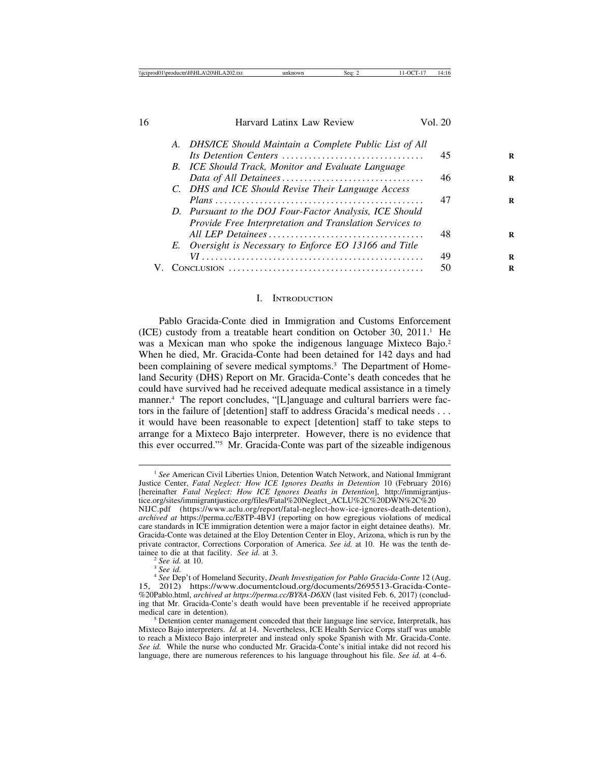|  | A. DHS/ICE Should Maintain a Complete Public List of All |    |
|--|----------------------------------------------------------|----|
|  | Its Detention Centers                                    | 45 |
|  | B. ICE Should Track, Monitor and Evaluate Language       |    |
|  |                                                          | 46 |
|  | C. DHS and ICE Should Revise Their Language Access       |    |
|  |                                                          | 47 |
|  | D. Pursuant to the DOJ Four-Factor Analysis, ICE Should  |    |
|  | Provide Free Interpretation and Translation Services to  |    |
|  |                                                          | 48 |
|  | E. Oversight is Necessary to Enforce EO 13166 and Title  |    |
|  |                                                          | 49 |
|  |                                                          | 50 |

#### I. INTRODUCTION

Pablo Gracida-Conte died in Immigration and Customs Enforcement (ICE) custody from a treatable heart condition on October 30,  $2011$ .<sup>1</sup> He was a Mexican man who spoke the indigenous language Mixteco Bajo.<sup>2</sup> When he died, Mr. Gracida-Conte had been detained for 142 days and had been complaining of severe medical symptoms.3 The Department of Homeland Security (DHS) Report on Mr. Gracida-Conte's death concedes that he could have survived had he received adequate medical assistance in a timely manner.4 The report concludes, "[L]anguage and cultural barriers were factors in the failure of [detention] staff to address Gracida's medical needs . . . it would have been reasonable to expect [detention] staff to take steps to arrange for a Mixteco Bajo interpreter. However, there is no evidence that this ever occurred."5 Mr. Gracida-Conte was part of the sizeable indigenous

<sup>1</sup> *See* American Civil Liberties Union, Detention Watch Network, and National Immigrant Justice Center, *Fatal Neglect: How ICE Ignores Deaths in Detention* 10 (February 2016) [hereinafter *Fatal Neglect: How ICE Ignores Deaths in Detention*], http://immigrantjustice.org/sites/immigrantjustice.org/files/Fatal%20Neglect\_ACLU%2C%20DWN%2C%20 NIJC.pdf (https://www.aclu.org/report/fatal-neglect-how-ice-ignores-death-detention),

*archived at* https://perma.cc/E8TP-4BVJ (reporting on how egregious violations of medical care standards in ICE immigration detention were a major factor in eight detainee deaths). Mr. Gracida-Conte was detained at the Eloy Detention Center in Eloy, Arizona, which is run by the private contractor, Corrections Corporation of America. *See id.* at 10. He was the tenth detainee to die at that facility. *See id.* at 3.<br><sup>2</sup> *See id.* at 10.<br><sup>3</sup> *See id.* 

<sup>4</sup> *See* Dep't of Homeland Security, *Death Investigation for Pablo Gracida-Conte* 12 (Aug. 15, 2012) https://www.documentcloud.org/documents/2695513-Gracida-Conte- %20Pablo.html, *archived at https://perma.cc/BY8A-D6XN* (last visited Feb. 6, 2017) (concluding that Mr. Gracida-Conte's death would have been preventable if he received appropriate

 $\frac{1}{2}$  Detention center management conceded that their language line service, Interpretalk, has Mixteco Bajo interpreters. *Id.* at 14. Nevertheless, ICE Health Service Corps staff was unable to reach a Mixteco Bajo interpreter and instead only spoke Spanish with Mr. Gracida-Conte. *See id.* While the nurse who conducted Mr. Gracida-Conte's initial intake did not record his language, there are numerous references to his language throughout his file. *See id.* at 4–6.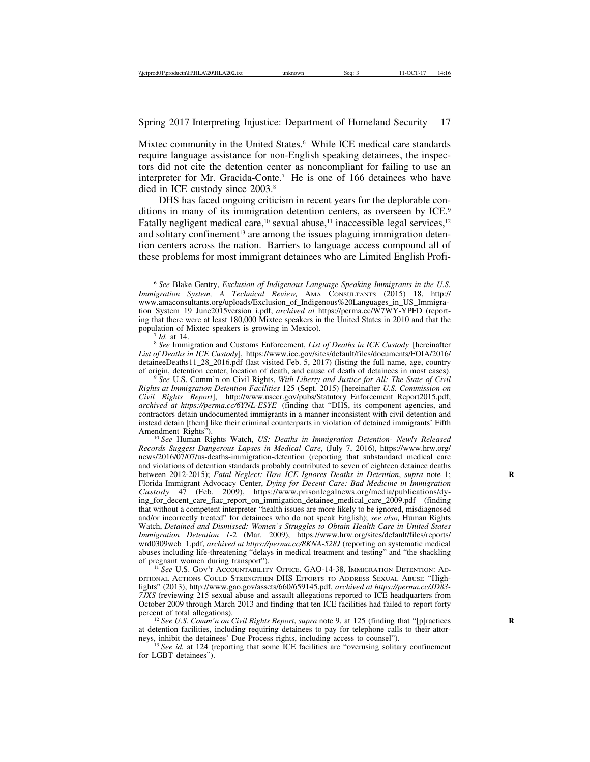Mixtec community in the United States.<sup>6</sup> While ICE medical care standards require language assistance for non-English speaking detainees, the inspectors did not cite the detention center as noncompliant for failing to use an interpreter for Mr. Gracida-Conte.7 He is one of 166 detainees who have died in ICE custody since 2003.8

DHS has faced ongoing criticism in recent years for the deplorable conditions in many of its immigration detention centers, as overseen by ICE.<sup>9</sup> Fatally negligent medical care,<sup>10</sup> sexual abuse,<sup>11</sup> inaccessible legal services,<sup>12</sup> and solitary confinement<sup>13</sup> are among the issues plaguing immigration detention centers across the nation. Barriers to language access compound all of these problems for most immigrant detainees who are Limited English Profi-

population of Mixtec speakers is growing in Mexico). <sup>7</sup> *Id.* at 14. <sup>8</sup> *See* Immigration and Customs Enforcement, *List of Deaths in ICE Custody* [hereinafter *List of Deaths in ICE Custody*], https://www.ice.gov/sites/default/files/documents/FOIA/2016/ detaineeDeaths11\_28\_2016.pdf (last visited Feb. 5, 2017) (listing the full name, age, country of origin, detention center, location of death, and cause of death of detainees in most cases). <sup>9</sup> *See* U.S. Comm'n on Civil Rights, *With Liberty and Justice for All: The State of Civil*

*Rights at Immigration Detention Facilities* 125 (Sept. 2015) [hereinafter *U.S. Commission on Civil Rights Report*], http://www.usccr.gov/pubs/Statutory\_Enforcement\_Report2015.pdf, *archived at https://perma.cc/6YNL-ESYE* (finding that "DHS, its component agencies, and contractors detain undocumented immigrants in a manner inconsistent with civil detention and instead detain [them] like their criminal counterparts in violation of detained immigrants' Fifth Amendment Rights'').

<sup>10</sup> See Human Rights Watch, *US: Deaths in Immigration Detention- Newly Released Records Suggest Dangerous Lapses in Medical Care*, (July 7, 2016), https://www.hrw.org/ news/2016/07/07/us-deaths-immigration-detention (reporting that substandard medical care and violations of detention standards probably contributed to seven of eighteen detainee deaths between 2012-2015); *Fatal Neglect: How ICE Ignores Deaths in Detention*, *supra* note 1; **R** Florida Immigrant Advocacy Center, *Dying for Decent Care: Bad Medicine in Immigration Custody* 47 (Feb. 2009), https://www.prisonlegalnews.org/media/publications/dying\_for\_decent\_care\_fiac\_report\_on\_immigation\_detainee\_medical\_care\_2009.pdf (finding that without a competent interpreter "health issues are more likely to be ignored, misdiagnosed and/or incorrectly treated" for detainees who do not speak English); *see also,* Human Rights Watch, *Detained and Dismissed: Women's Struggles to Obtain Health Care in United States Immigration Detention 1-*2 (Mar. 2009), https://www.hrw.org/sites/default/files/reports/ wrd0309web\_1.pdf, *archived at https://perma.cc/8KNA-528J* (reporting on systematic medical abuses including life-threatening "delays in medical treatment and testing" and "the shackling

of pregnant women during transport"). <sup>11</sup> *See* U.S. GOV'T ACCOUNTABILITY OFFICE, GAO-14-38, IMMIGRATION DETENTION: AD-DITIONAL ACTIONS COULD STRENGTHEN DHS EFFORTS TO ADDRESS SEXUAL ABUSE "Highlights" (2013), http://www.gao.gov/assets/660/659145.pdf, *archived at https://perma.cc/JD83- 7JXS* (reviewing 215 sexual abuse and assault allegations reported to ICE headquarters from October 2009 through March 2013 and finding that ten ICE facilities had failed to report forty

<sup>12</sup> *See U.S. Comm'n on Civil Rights Report, supra* note 9, at 125 (finding that "[p]ractices at detention facilities, including requiring detainees to pay for telephone calls to their attor-<br>neys, inhibit the detainees' Due Process rights, including access to counsel'').

<sup>13</sup> *See id.* at 124 (reporting that some ICE facilities are "overusing solitary confinement"). for LGBT detainees").

<sup>6</sup> *See* Blake Gentry, *Exclusion of Indigenous Language Speaking Immigrants in the U.S. Immigration System, A Technical Review,* AMA CONSULTANTS (2015) 18, http:// www.amaconsultants.org/uploads/Exclusion\_of\_Indigenous%20Languages\_in\_US\_Immigration\_System\_19\_June2015version\_i.pdf, *archived at* https://perma.cc/W7WY-YPFD (reporting that there were at least 180,000 Mixtec speakers in the United States in 2010 and that the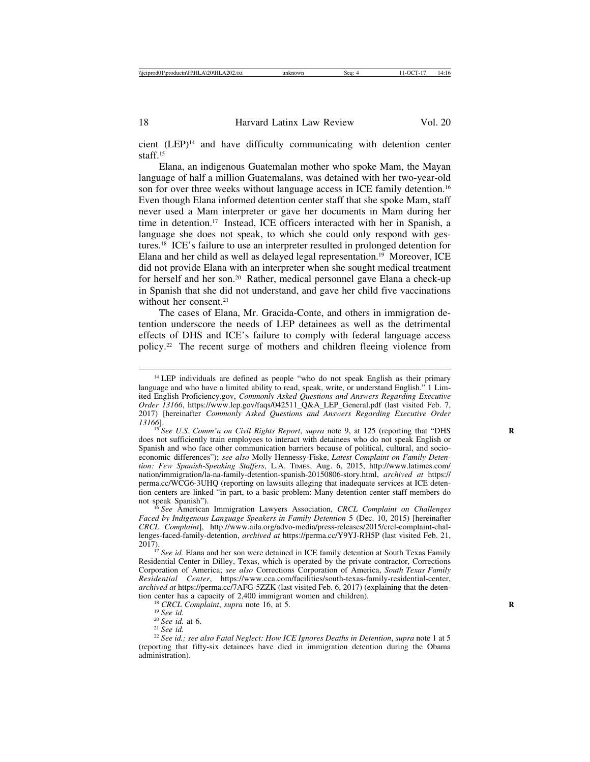cient (LEP)14 and have difficulty communicating with detention center staff.15

Elana, an indigenous Guatemalan mother who spoke Mam, the Mayan language of half a million Guatemalans, was detained with her two-year-old son for over three weeks without language access in ICE family detention.<sup>16</sup> Even though Elana informed detention center staff that she spoke Mam, staff never used a Mam interpreter or gave her documents in Mam during her time in detention.<sup>17</sup> Instead, ICE officers interacted with her in Spanish, a language she does not speak, to which she could only respond with gestures.18 ICE's failure to use an interpreter resulted in prolonged detention for Elana and her child as well as delayed legal representation.19 Moreover, ICE did not provide Elana with an interpreter when she sought medical treatment for herself and her son.20 Rather, medical personnel gave Elana a check-up in Spanish that she did not understand, and gave her child five vaccinations without her consent.<sup>21</sup>

The cases of Elana, Mr. Gracida-Conte, and others in immigration detention underscore the needs of LEP detainees as well as the detrimental effects of DHS and ICE's failure to comply with federal language access policy.22 The recent surge of mothers and children fleeing violence from

<sup>&</sup>lt;sup>14</sup> LEP individuals are defined as people "who do not speak English as their primary language and who have a limited ability to read, speak, write, or understand English." 1 Limited English Proficiency.gov, *Commonly Asked Questions and Answers Regarding Executive Order 13166*, https://www.lep.gov/faqs/042511\_Q&A\_LEP\_General.pdf (last visited Feb. 7, 2017) [hereinafter *Commonly Asked Questions and Answers Regarding Executive Order 13166*].

<sup>&</sup>lt;sup>15</sup> See U.S. Comm'n on Civil Rights Report, supra note 9, at 125 (reporting that "DHS does not sufficiently train employees to interact with detainees who do not speak English or Spanish and who face other communication barriers because of political, cultural, and socioeconomic differences"); *see also* Molly Hennessy-Fiske, *Latest Complaint on Family Detention: Few Spanish-Speaking Staffers*, L.A. TIMES, Aug. 6, 2015, http://www.latimes.com/ nation/immigration/la-na-family-detention-spanish-20150806-story.html, *archived at* https:// perma.cc/WCG6-3UHQ (reporting on lawsuits alleging that inadequate services at ICE detention centers are linked "in part, to a basic problem: Many detention center staff members do not speak Spanish").

<sup>&</sup>lt;sup>16</sup> *See* American Immigration Lawyers Association, *CRCL Complaint on Challenges Faced by Indigenous Language Speakers in Family Detention* 5 (Dec. 10, 2015) [hereinafter *CRCL Complaint*], http://www.aila.org/advo-media/press-releases/2015/crcl-complaint-challenges-faced-family-detention, *archived at* https://perma.cc/Y9YJ-RH5P (last visited Feb. 21, 2017). <sup>17</sup> *See id.* Elana and her son were detained in ICE family detention at South Texas Family

Residential Center in Dilley, Texas, which is operated by the private contractor, Corrections Corporation of America; *see also* Corrections Corporation of America, *South Texas Family Residential Center*, https://www.cca.com/facilities/south-texas-family-residential-center, *archived at https://perma.cc/7AFG-5ZZK* (last visited Feb. 6, 2017) (explaining that the detention center has a capacity of 2,400 immigrant women and children).

<sup>&</sup>lt;sup>18</sup> CRCL Complaint, supra note 16, at 5.<br><sup>19</sup> See id. at 6.<br><sup>20</sup> See id. at 6.<br><sup>21</sup> See id.; see also Fatal Neglect: How ICE Ignores Deaths in Detention, supra note 1 at 5<sup>22</sup> See id.; see also Fatal Neglect: How ICE Ign (reporting that fifty-six detainees have died in immigration detention during the Obama administration).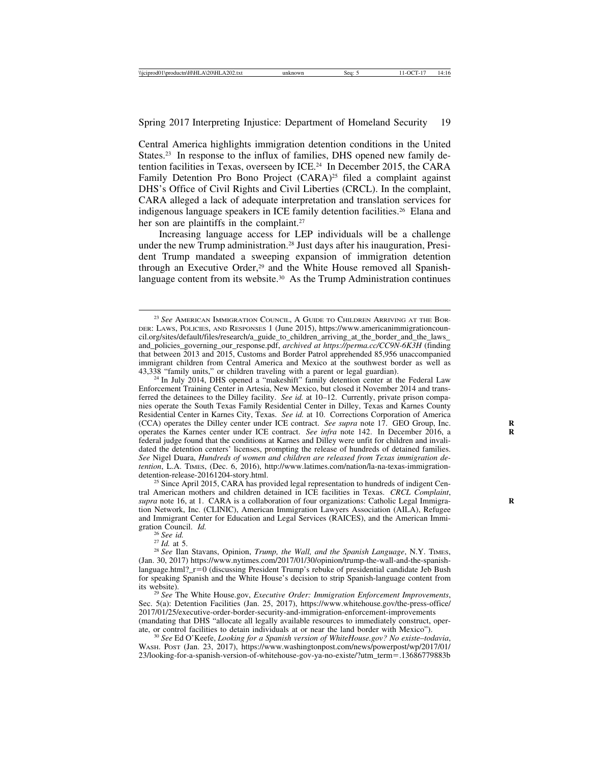Central America highlights immigration detention conditions in the United States.<sup>23</sup> In response to the influx of families, DHS opened new family detention facilities in Texas, overseen by ICE.24 In December 2015, the CARA Family Detention Pro Bono Project (CARA)<sup>25</sup> filed a complaint against DHS's Office of Civil Rights and Civil Liberties (CRCL). In the complaint, CARA alleged a lack of adequate interpretation and translation services for indigenous language speakers in ICE family detention facilities.<sup>26</sup> Elana and her son are plaintiffs in the complaint.<sup>27</sup>

Increasing language access for LEP individuals will be a challenge under the new Trump administration.28 Just days after his inauguration, President Trump mandated a sweeping expansion of immigration detention through an Executive Order,<sup>29</sup> and the White House removed all Spanishlanguage content from its website.<sup>30</sup> As the Trump Administration continues

 $^{25}$  Since April 2015, CARA has provided legal representation to hundreds of indigent Central American mothers and children detained in ICE facilities in Texas. *CRCL Complaint*, supra note 16, at 1. CARA is a collaboration of four organizations: Catholic Legal Immigration Network, Inc. (CLINIC), American Immigration Lawyers Association (AILA), Refugee and Immigrant Center for Education and Legal Services (RAICES), and the American Immigration Council. *Id.*<br><sup>26</sup> *See id.* <sup>27</sup> *Id.* at 5.<br><sup>28</sup> *See* Ilan Stavans, Opinion, *Trump, the Wall, and the Spanish Language*, N.Y. TIMES,

(Jan. 30, 2017) https://www.nytimes.com/2017/01/30/opinion/trump-the-wall-and-the-spanishlanguage.html?\_r=0 (discussing President Trump's rebuke of presidential candidate Jeb Bush for speaking Spanish and the White House's decision to strip Spanish-language content from its website). <sup>29</sup> *See* The White House.gov, *Executive Order: Immigration Enforcement Improvements*,

Sec. 5(a): Detention Facilities (Jan. 25, 2017), https://www.whitehouse.gov/the-press-office/ 2017/01/25/executive-order-border-security-and-immigration-enforcement-improvements (mandating that DHS "allocate all legally available resources to immediately construct, oper-<br>ate, or control facilities to detain individuals at or near the land border with Mexico").

<sup>30</sup> See Ed O'Keefe, Looking for a Spanish version of WhiteHouse.gov? No existe-todavia, WASH. POST (Jan. 23, 2017), https://www.washingtonpost.com/news/powerpost/wp/2017/01/ 23/looking-for-a-spanish-version-of-whitehouse-gov-ya-no-existe/?utm\_term=.13686779883b

<sup>23</sup> *See* AMERICAN IMMIGRATION COUNCIL, A GUIDE TO CHILDREN ARRIVING AT THE BOR-DER: LAWS, POLICIES, AND RESPONSES 1 (June 2015), https://www.americanimmigrationcouncil.org/sites/default/files/research/a\_guide\_to\_children\_arriving\_at\_the\_border\_and\_the\_laws\_ and\_policies\_governing\_our\_response.pdf, *archived at https://perma.cc/CC9N-6K3H* (finding that between 2013 and 2015, Customs and Border Patrol apprehended 85,956 unaccompanied immigrant children from Central America and Mexico at the southwest border as well as 43,338 "family units," or children traveling with a parent or legal guardian).

<sup>&</sup>lt;sup>24</sup> In July 2014, DHS opened a "makeshift" family detention center at the Federal Law Enforcement Training Center in Artesia, New Mexico, but closed it November 2014 and transferred the detainees to the Dilley facility. *See id.* at 10–12. Currently, private prison companies operate the South Texas Family Residential Center in Dilley, Texas and Karnes County Residential Center in Karnes City, Texas. *See id.* at 10. Corrections Corporation of America (CCA) operates the Dilley center under ICE contract. *See supra* note 17. GEO Group, Inc. operates the Karnes center under ICE contract. *See infra* note 142. In December 2016, a **R** federal judge found that the conditions at Karnes and Dilley were unfit for children and invalidated the detention centers' licenses, prompting the release of hundreds of detained families. *See* Nigel Duara, *Hundreds of women and children are released from Texas immigration detention*, L.A. TIMES, (Dec. 6, 2016), http://www.latimes.com/nation/la-na-texas-immigration-<br>detention-release-20161204-story.html.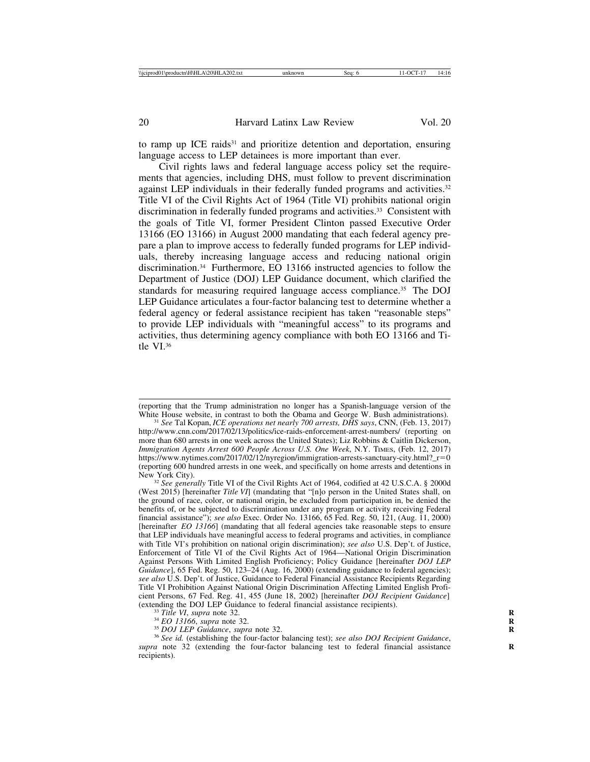to ramp up ICE raids<sup>31</sup> and prioritize detention and deportation, ensuring language access to LEP detainees is more important than ever.

Civil rights laws and federal language access policy set the requirements that agencies, including DHS, must follow to prevent discrimination against LEP individuals in their federally funded programs and activities.<sup>32</sup> Title VI of the Civil Rights Act of 1964 (Title VI) prohibits national origin discrimination in federally funded programs and activities.<sup>33</sup> Consistent with the goals of Title VI, former President Clinton passed Executive Order 13166 (EO 13166) in August 2000 mandating that each federal agency prepare a plan to improve access to federally funded programs for LEP individuals, thereby increasing language access and reducing national origin discrimination.34 Furthermore, EO 13166 instructed agencies to follow the Department of Justice (DOJ) LEP Guidance document, which clarified the standards for measuring required language access compliance.<sup>35</sup> The DOJ LEP Guidance articulates a four-factor balancing test to determine whether a federal agency or federal assistance recipient has taken "reasonable steps" to provide LEP individuals with "meaningful access" to its programs and activities, thus determining agency compliance with both EO 13166 and Title VI.36

(West 2015) [hereinafter *Title VI*] (mandating that "[n]o person in the United States shall, on the ground of race, color, or national origin, be excluded from participation in, be denied the benefits of, or be subjected to discrimination under any program or activity receiving Federal financial assistance"); *see also* Exec. Order No. 13166, 65 Fed. Reg. 50, 121, (Aug. 11, 2000) [hereinafter *EO 13166*] (mandating that all federal agencies take reasonable steps to ensure that LEP individuals have meaningful access to federal programs and activities, in compliance with Title VI's prohibition on national origin discrimination); *see also* U.S. Dep't. of Justice, Enforcement of Title VI of the Civil Rights Act of 1964—National Origin Discrimination Against Persons With Limited English Proficiency; Policy Guidance [hereinafter *DOJ LEP Guidance*], 65 Fed. Reg. 50, 123–24 (Aug. 16, 2000) (extending guidance to federal agencies); *see also* U.S. Dep't. of Justice, Guidance to Federal Financial Assistance Recipients Regarding Title VI Prohibition Against National Origin Discrimination Affecting Limited English Proficient Persons, 67 Fed. Reg. 41, 455 (June 18, 2002) [hereinafter *DOJ Recipient Guidance*]

<sup>33</sup> Title VI, supra note 32.<br><sup>34</sup> EO 13166, supra note 32.<br><sup>35</sup> DOJ LEP Guidance, supra note 32.<br><sup>36</sup> See id. (establishing the four-factor balancing test); see also DOJ Recipient Guidance, supra note 32 (extending the four-factor balancing test to federal financial assistance recipients).

<sup>(</sup>reporting that the Trump administration no longer has a Spanish-language version of the

<sup>&</sup>lt;sup>31</sup> See Tal Kopan, *ICE operations net nearly 700 arrests, DHS says*, CNN, (Feb. 13, 2017) http://www.cnn.com/2017/02/13/politics/ice-raids-enforcement-arrest-numbers/ (reporting on more than 680 arrests in one week across the United States); Liz Robbins & Caitlin Dickerson, *Immigration Agents Arrest 600 People Across U.S. One Week*, N.Y. TIMES, (Feb. 12, 2017) https://www.nytimes.com/2017/02/12/nyregion/immigration-arrests-sanctuary-city.html?  $r=0$ (reporting 600 hundred arrests in one week, and specifically on home arrests and detentions in New York City). <sup>32</sup> *See generally* Title VI of the Civil Rights Act of 1964, codified at 42 U.S.C.A. § 2000d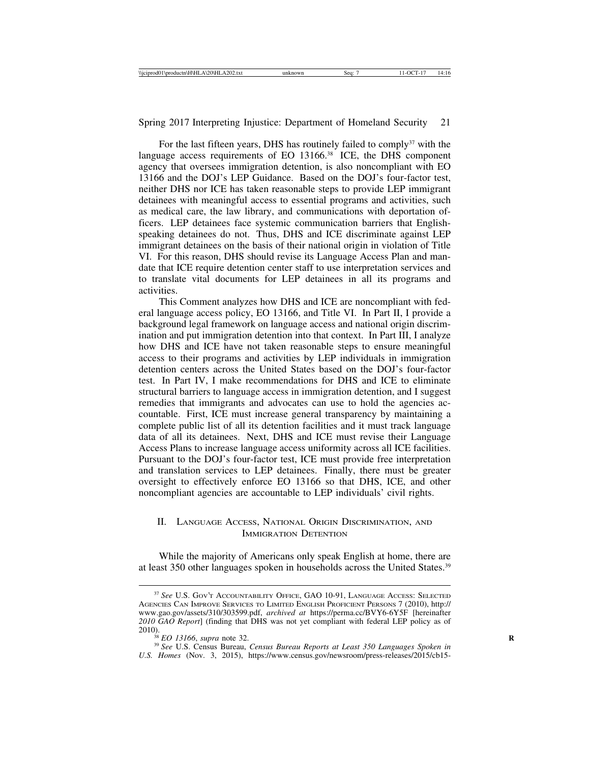For the last fifteen years, DHS has routinely failed to comply<sup>37</sup> with the language access requirements of EO 13166.<sup>38</sup> ICE, the DHS component agency that oversees immigration detention, is also noncompliant with EO 13166 and the DOJ's LEP Guidance. Based on the DOJ's four-factor test, neither DHS nor ICE has taken reasonable steps to provide LEP immigrant detainees with meaningful access to essential programs and activities, such as medical care, the law library, and communications with deportation officers. LEP detainees face systemic communication barriers that Englishspeaking detainees do not. Thus, DHS and ICE discriminate against LEP immigrant detainees on the basis of their national origin in violation of Title VI. For this reason, DHS should revise its Language Access Plan and mandate that ICE require detention center staff to use interpretation services and to translate vital documents for LEP detainees in all its programs and activities.

This Comment analyzes how DHS and ICE are noncompliant with federal language access policy, EO 13166, and Title VI. In Part II, I provide a background legal framework on language access and national origin discrimination and put immigration detention into that context. In Part III, I analyze how DHS and ICE have not taken reasonable steps to ensure meaningful access to their programs and activities by LEP individuals in immigration detention centers across the United States based on the DOJ's four-factor test. In Part IV, I make recommendations for DHS and ICE to eliminate structural barriers to language access in immigration detention, and I suggest remedies that immigrants and advocates can use to hold the agencies accountable. First, ICE must increase general transparency by maintaining a complete public list of all its detention facilities and it must track language data of all its detainees. Next, DHS and ICE must revise their Language Access Plans to increase language access uniformity across all ICE facilities. Pursuant to the DOJ's four-factor test, ICE must provide free interpretation and translation services to LEP detainees. Finally, there must be greater oversight to effectively enforce EO 13166 so that DHS, ICE, and other noncompliant agencies are accountable to LEP individuals' civil rights.

# II. LANGUAGE ACCESS, NATIONAL ORIGIN DISCRIMINATION, AND IMMIGRATION DETENTION

While the majority of Americans only speak English at home, there are at least 350 other languages spoken in households across the United States.39

<sup>37</sup> *See* U.S. GOV'T ACCOUNTABILITY OFFICE, GAO 10-91, LANGUAGE ACCESS: SELECTED AGENCIES CAN IMPROVE SERVICES TO LIMITED ENGLISH PROFICIENT PERSONS 7 (2010), http:// www.gao.gov/assets/310/303599.pdf, *archived at* https://perma.cc/BVY6-6Y5F [hereinafter *2010 GAO Report*] (finding that DHS was not yet compliant with federal LEP policy as of 2010).<br><sup>38</sup> *EO 13166*, *supra* note 32.

<sup>&</sup>lt;sup>39</sup> See U.S. Census Bureau, *Census Bureau Reports at Least 350 Languages Spoken in U.S. Homes* (Nov. 3, 2015), https://www.census.gov/newsroom/press-releases/2015/cb15-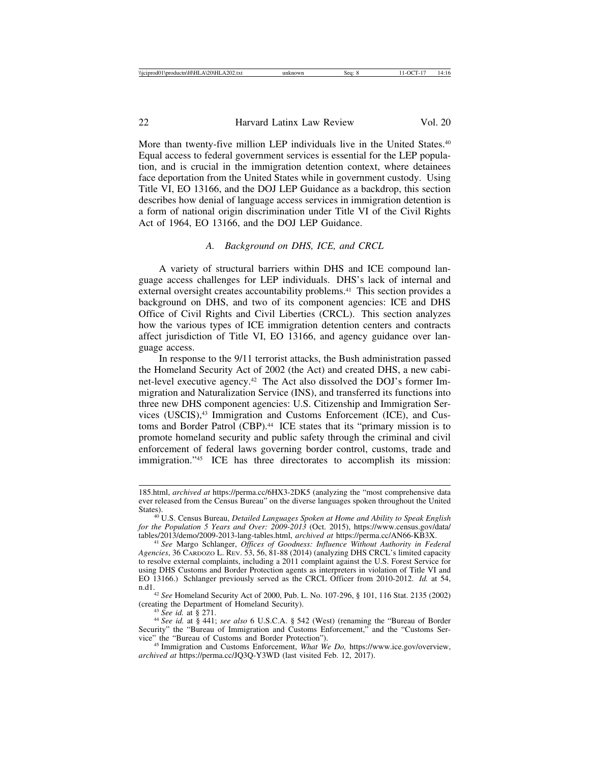More than twenty-five million LEP individuals live in the United States.<sup>40</sup> Equal access to federal government services is essential for the LEP population, and is crucial in the immigration detention context, where detainees face deportation from the United States while in government custody. Using Title VI, EO 13166, and the DOJ LEP Guidance as a backdrop, this section describes how denial of language access services in immigration detention is a form of national origin discrimination under Title VI of the Civil Rights Act of 1964, EO 13166, and the DOJ LEP Guidance.

#### *A. Background on DHS, ICE, and CRCL*

A variety of structural barriers within DHS and ICE compound language access challenges for LEP individuals. DHS's lack of internal and external oversight creates accountability problems.<sup>41</sup> This section provides a background on DHS, and two of its component agencies: ICE and DHS Office of Civil Rights and Civil Liberties (CRCL). This section analyzes how the various types of ICE immigration detention centers and contracts affect jurisdiction of Title VI, EO 13166, and agency guidance over language access.

In response to the 9/11 terrorist attacks, the Bush administration passed the Homeland Security Act of 2002 (the Act) and created DHS, a new cabinet-level executive agency.42 The Act also dissolved the DOJ's former Immigration and Naturalization Service (INS), and transferred its functions into three new DHS component agencies: U.S. Citizenship and Immigration Services (USCIS),<sup>43</sup> Immigration and Customs Enforcement (ICE), and Customs and Border Patrol (CBP).<sup>44</sup> ICE states that its "primary mission is to promote homeland security and public safety through the criminal and civil enforcement of federal laws governing border control, customs, trade and immigration."45 ICE has three directorates to accomplish its mission:

n.d1.<br><sup>42</sup> *See* Homeland Security Act of 2000, Pub. L. No. 107-296, § 101, 116 Stat. 2135 (2002) (creating the Department of Homeland Security).

<sup>185.</sup>html, *archived at* https://perma.cc/6HX3-2DK5 (analyzing the "most comprehensive data ever released from the Census Bureau" on the diverse languages spoken throughout the United

<sup>&</sup>lt;sup>40</sup> U.S. Census Bureau, *Detailed Languages Spoken at Home and Ability to Speak English* for the Population 5 Years and Over:  $2009-2013$  (Oct. 2015), https://www.census.gov/data/<br>tables/2013/demo/2009-2013-lang-tables.html, archived at https://perma.cc/AN66-KB3X.

<sup>&</sup>lt;sup>41</sup> See Margo Schlanger, *Offices of Goodness: Influence Without Authority in Federal Agencies*, 36 CARDOZO L. REV. 53, 56, 81-88 (2014) (analyzing DHS CRCL's limited capacity to resolve external complaints, including a 2011 complaint against the U.S. Forest Service for using DHS Customs and Border Protection agents as interpreters in violation of Title VI and EO 13166.) Schlanger previously served as the CRCL Officer from 2010-2012. *Id.* at 54,

<sup>&</sup>lt;sup>43</sup> *See id.* at § 271.<br><sup>44</sup> *See id.* at § 441; *see also* 6 U.S.C.A. § 542 (West) (renaming the "Bureau of Border" Security" the "Bureau of Immigration and Customs Enforcement," and the "Customs Service" the "Bureau of Customs and Border Protection").

<sup>&</sup>lt;sup>45</sup> Immigration and Customs Enforcement, *What We Do*, https://www.ice.gov/overview, *archived at* https://perma.cc/JQ3Q-Y3WD (last visited Feb. 12, 2017).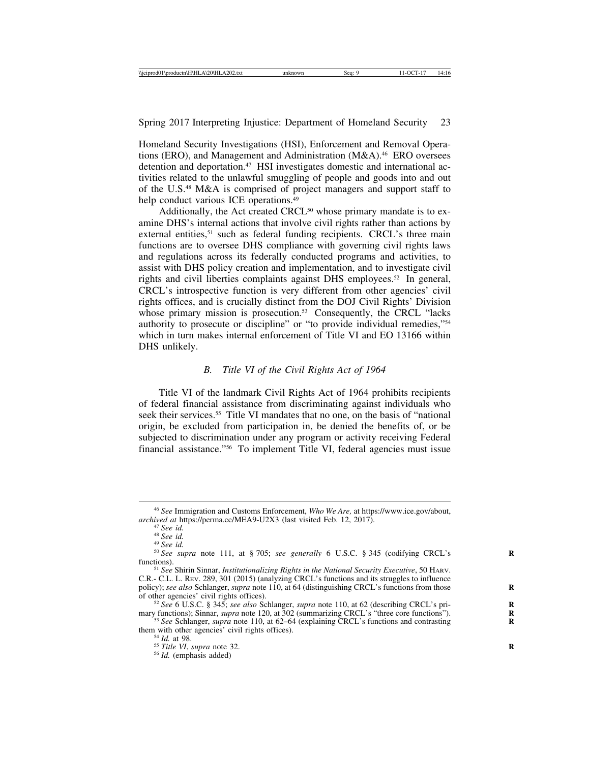Homeland Security Investigations (HSI), Enforcement and Removal Operations (ERO), and Management and Administration (M&A).<sup>46</sup> ERO oversees detention and deportation.<sup>47</sup> HSI investigates domestic and international activities related to the unlawful smuggling of people and goods into and out of the U.S.48 M&A is comprised of project managers and support staff to help conduct various ICE operations.<sup>49</sup>

Additionally, the Act created CRCL<sup>50</sup> whose primary mandate is to examine DHS's internal actions that involve civil rights rather than actions by external entities,<sup>51</sup> such as federal funding recipients. CRCL's three main functions are to oversee DHS compliance with governing civil rights laws and regulations across its federally conducted programs and activities, to assist with DHS policy creation and implementation, and to investigate civil rights and civil liberties complaints against DHS employees.52 In general, CRCL's introspective function is very different from other agencies' civil rights offices, and is crucially distinct from the DOJ Civil Rights' Division whose primary mission is prosecution.<sup>53</sup> Consequently, the CRCL "lacks" authority to prosecute or discipline" or "to provide individual remedies,"54 which in turn makes internal enforcement of Title VI and EO 13166 within DHS unlikely.

# *B. Title VI of the Civil Rights Act of 1964*

Title VI of the landmark Civil Rights Act of 1964 prohibits recipients of federal financial assistance from discriminating against individuals who seek their services.<sup>55</sup> Title VI mandates that no one, on the basis of "national" origin, be excluded from participation in, be denied the benefits of, or be subjected to discrimination under any program or activity receiving Federal financial assistance."56 To implement Title VI, federal agencies must issue

<sup>46</sup> *See* Immigration and Customs Enforcement, *Who We Are,* at https://www.ice.gov/about,

<sup>&</sup>lt;sup>47</sup> See id.<br><sup>48</sup> See id.<br><sup>49</sup> See id.<br><sup>50</sup> See supra note 111, at § 705; see generally 6 U.S.C. § 345 (codifying CRCL's functions).

functions). <sup>51</sup> *See* Shirin Sinnar, *Institutionalizing Rights in the National Security Executive*, 50 HARV. C.R.- C.L. L. REV. 289, 301 (2015) (analyzing CRCL's functions and its struggles to influence policy); *see also* Schlanger, *supra* note 110, at 64 (distinguishing CRCL's functions from those of other agencies' civil rights offices).

of other agencies' civil rights offices). <sup>52</sup> *See* 6 U.S.C. § 345; *see also* Schlanger, *supra* note 110, at 62 (describing CRCL's pri- **<sup>R</sup>**

mary functions); Sinnar, *supra* note 120, at 302 (summarizing CRCL's "three core functions"). <sup>53</sup> *See* Schlanger, *supra* note 110, at 62–64 (explaining CRCL's functions and contrasting them with other agencies' civil r them with other agencies' civil rights offices).<br><sup>54</sup> *Id.* at 98.<br><sup>55</sup> *Title VI*, *supra* note 32.<br><sup>56</sup> *Id.* (emphasis added)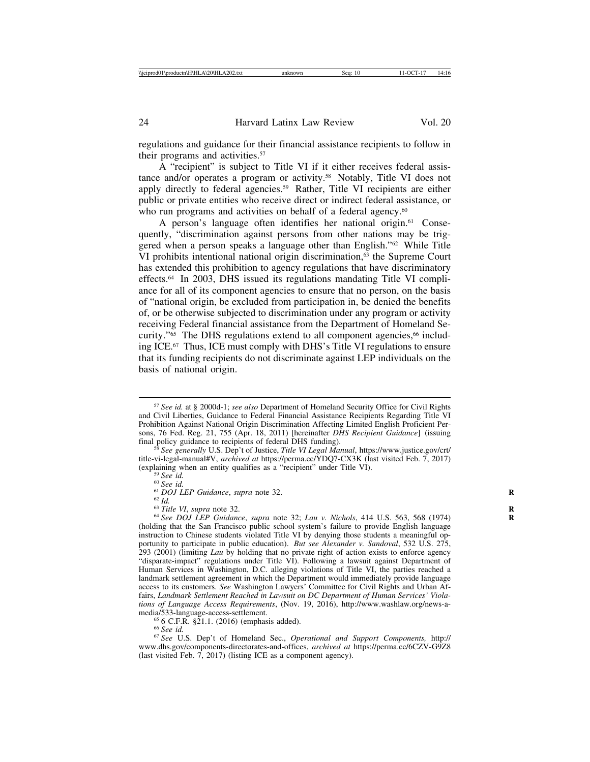regulations and guidance for their financial assistance recipients to follow in their programs and activities.57

A "recipient" is subject to Title VI if it either receives federal assistance and/or operates a program or activity.58 Notably, Title VI does not apply directly to federal agencies.<sup>59</sup> Rather, Title VI recipients are either public or private entities who receive direct or indirect federal assistance, or who run programs and activities on behalf of a federal agency.<sup>60</sup>

A person's language often identifies her national origin.<sup>61</sup> Consequently, "discrimination against persons from other nations may be triggered when a person speaks a language other than English."62 While Title VI prohibits intentional national origin discrimination,<sup>63</sup> the Supreme Court has extended this prohibition to agency regulations that have discriminatory effects.64 In 2003, DHS issued its regulations mandating Title VI compliance for all of its component agencies to ensure that no person, on the basis of "national origin, be excluded from participation in, be denied the benefits of, or be otherwise subjected to discrimination under any program or activity receiving Federal financial assistance from the Department of Homeland Security." $65$  The DHS regulations extend to all component agencies, $66$  including ICE.67 Thus, ICE must comply with DHS's Title VI regulations to ensure that its funding recipients do not discriminate against LEP individuals on the basis of national origin.

www.dhs.gov/components-directorates-and-offices, *archived at* https://perma.cc/6CZV-G9Z8 (last visited Feb. 7, 2017) (listing ICE as a component agency).

<sup>57</sup> *See id.* at § 2000d-1; *see also* Department of Homeland Security Office for Civil Rights and Civil Liberties, Guidance to Federal Financial Assistance Recipients Regarding Title VI Prohibition Against National Origin Discrimination Affecting Limited English Proficient Persons, 76 Fed. Reg. 21, 755 (Apr. 18, 2011) [hereinafter *DHS Recipient Guidance*] (issuing

<sup>&</sup>lt;sup>58</sup> See generally U.S. Dep't of Justice, *Title VI Legal Manual*, https://www.justice.gov/crt/ title-vi-legal-manual#V, *archived at* https://perma.cc/YDQ7-CX3K (last visited Feb. 7, 2017)

<sup>&</sup>lt;sup>59</sup> See id.<br>
<sup>60</sup> See id.<br>
<sup>61</sup> DOJ LEP Guidance, supra note 32.<br>
<sup>62</sup> Id.<br>
<sup>63</sup> Title VI, supra note 32.<br>
<sup>64</sup> See DOJ LEP Guidance, supra note 32; Lau v. Nichols, 414 U.S. 563, 568 (1974) (holding that the San Francisco public school system's failure to provide English language instruction to Chinese students violated Title VI by denying those students a meaningful opportunity to participate in public education). *But see Alexander v. Sandoval*, 532 U.S. 275, 293 (2001) (limiting *Lau* by holding that no private right of action exists to enforce agency "disparate-impact" regulations under Title VI). Following a lawsuit against Department of Human Services in Washington, D.C. alleging violations of Title VI, the parties reached a landmark settlement agreement in which the Department would immediately provide language access to its customers. *See* Washington Lawyers' Committee for Civil Rights and Urban Affairs, *Landmark Settlement Reached in Lawsuit on DC Department of Human Services' Violations of Language Access Requirements*, (Nov. 19, 2016), http://www.washlaw.org/news-amedia/533-language-access-settlement.<br>
<sup>65</sup> 6 C.F.R. §21.1. (2016) (emphasis added).<br>
<sup>66</sup> *See id.* <sup>67</sup> *See* U.S. Dep't of Homeland Sec., *Operational and Support Components*, http://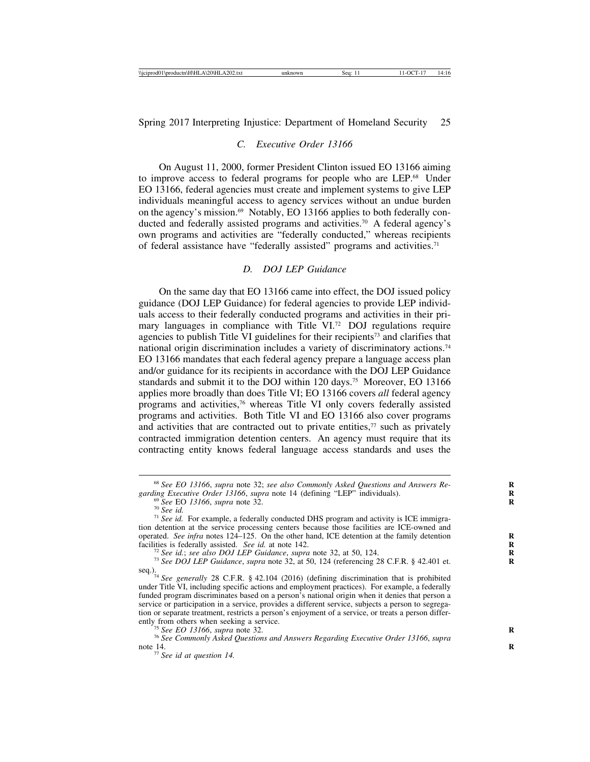# *C. Executive Order 13166*

On August 11, 2000, former President Clinton issued EO 13166 aiming to improve access to federal programs for people who are LEP.68 Under EO 13166, federal agencies must create and implement systems to give LEP individuals meaningful access to agency services without an undue burden on the agency's mission.<sup>69</sup> Notably, EO 13166 applies to both federally conducted and federally assisted programs and activities.70 A federal agency's own programs and activities are "federally conducted," whereas recipients of federal assistance have "federally assisted" programs and activities.71

## *D. DOJ LEP Guidance*

On the same day that EO 13166 came into effect, the DOJ issued policy guidance (DOJ LEP Guidance) for federal agencies to provide LEP individuals access to their federally conducted programs and activities in their primary languages in compliance with Title VI.<sup>72</sup> DOJ regulations require agencies to publish Title VI guidelines for their recipients<sup>73</sup> and clarifies that national origin discrimination includes a variety of discriminatory actions.74 EO 13166 mandates that each federal agency prepare a language access plan and/or guidance for its recipients in accordance with the DOJ LEP Guidance standards and submit it to the DOJ within 120 days.<sup>75</sup> Moreover, EO 13166 applies more broadly than does Title VI; EO 13166 covers *all* federal agency programs and activities,76 whereas Title VI only covers federally assisted programs and activities. Both Title VI and EO 13166 also cover programs and activities that are contracted out to private entities, $77$  such as privately contracted immigration detention centers. An agency must require that its contracting entity knows federal language access standards and uses the

<sup>&</sup>lt;sup>68</sup> *See EO 13166*, *supra* note 32; *see also Commonly Asked Questions and Answers Regarding Executive Order 13166*, *supra* note 14 (defining "LEP" individuals).

<sup>&</sup>lt;sup>69</sup> See EO 13166, supra note 32.<br><sup>70</sup> See id.<br><sup>71</sup> See id. For example, a federally conducted DHS program and activity is ICE immigration detention at the service processing centers because those facilities are ICE-owned and operated. *See infra* notes 124–125. On the other hand, ICE detention at the family detention facilities is federally assisted. *See id.* at note 142.

<sup>&</sup>lt;sup>72</sup> See id.; see also DOJ LEP Guidance, supra note 32, at 50, 124.<br><sup>73</sup> See DOJ LEP Guidance, supra note 32, at 50, 124 (referencing 28 C.F.R. § 42.401 et. seq.).74 *See generally* 28 C.F.R. § 42.104 (2016) (defining discrimination that is prohibited

under Title VI, including specific actions and employment practices). For example, a federally funded program discriminates based on a person's national origin when it denies that person a service or participation in a service, provides a different service, subjects a person to segregation or separate treatment, restricts a person's enjoyment of a service, or treats a person differ-<br>ently from others when seeking a service.

<sup>&</sup>lt;sup>75</sup> See EO 13166, supra note 32.<br><sup>76</sup> See Commonly Asked Questions and Answers Regarding Executive Order 13166, supra note 14.<br><sup>77</sup> *See id at question 14.*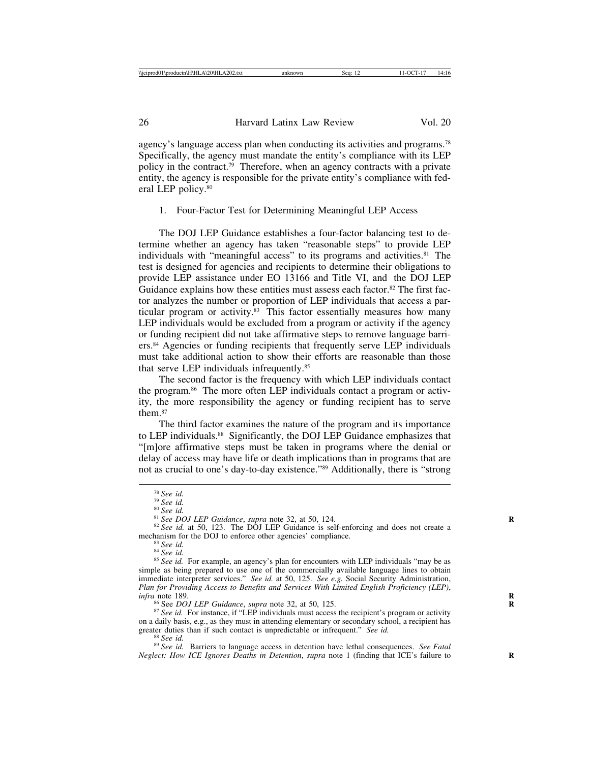agency's language access plan when conducting its activities and programs.78 Specifically, the agency must mandate the entity's compliance with its LEP policy in the contract.79 Therefore, when an agency contracts with a private entity, the agency is responsible for the private entity's compliance with federal LEP policy.80

#### 1. Four-Factor Test for Determining Meaningful LEP Access

The DOJ LEP Guidance establishes a four-factor balancing test to determine whether an agency has taken "reasonable steps" to provide LEP individuals with "meaningful access" to its programs and activities.<sup>81</sup> The test is designed for agencies and recipients to determine their obligations to provide LEP assistance under EO 13166 and Title VI, and the DOJ LEP Guidance explains how these entities must assess each factor.<sup>82</sup> The first factor analyzes the number or proportion of LEP individuals that access a particular program or activity.83 This factor essentially measures how many LEP individuals would be excluded from a program or activity if the agency or funding recipient did not take affirmative steps to remove language barriers.84 Agencies or funding recipients that frequently serve LEP individuals must take additional action to show their efforts are reasonable than those that serve LEP individuals infrequently.85

The second factor is the frequency with which LEP individuals contact the program.86 The more often LEP individuals contact a program or activity, the more responsibility the agency or funding recipient has to serve them.87

The third factor examines the nature of the program and its importance to LEP individuals.<sup>88</sup> Significantly, the DOJ LEP Guidance emphasizes that "[m]ore affirmative steps must be taken in programs where the denial or delay of access may have life or death implications than in programs that are not as crucial to one's day-to-day existence."89 Additionally, there is "strong

<sup>88</sup> *See id.* Barriers to language access in detention have lethal consequences. *See Fatal* 89 *See id.* **Barriers** to language access in detention have lethal consequences. *See Fatal Neglect: How ICE Ignores Deaths in Detention, supra note 1 (finding that ICE's failure to* 

<sup>&</sup>lt;sup>78</sup> *See id.*<br><sup>79</sup> *See id.*<br><sup>80</sup> *See id.* 81 *See DOJ LEP Guidance*, *supra* note 32, at 50, 124.<br><sup>82</sup> *See id.* at 50, 123. The DOJ LEP Guidance is self-enforcing and does not create a<br>mechanism for the DOJ to enforce

<sup>&</sup>lt;sup>83</sup> See id.<br><sup>84</sup> See id.<br><sup>85</sup> See id. For example, an agency's plan for encounters with LEP individuals "may be as simple as being prepared to use one of the commercially available language lines to obtain immediate interpreter services." *See id.* at 50, 125. *See e.g.* Social Security Administration, *Plan for Providing Access to Benefits and Services With Limited English Proficiency (LEP)*, *infra* note 189.<br><sup>86</sup> See *DOJ LEP Guidance*, *supra* note 32, at 50, 125.<br><sup>87</sup> *See id.* For instance, if "LEP individuals must access the recipient's program or activity

on a daily basis, e.g., as they must in attending elementary or secondary school, a recipient has greater duties than if such contact is unpredictable or infrequent." See id.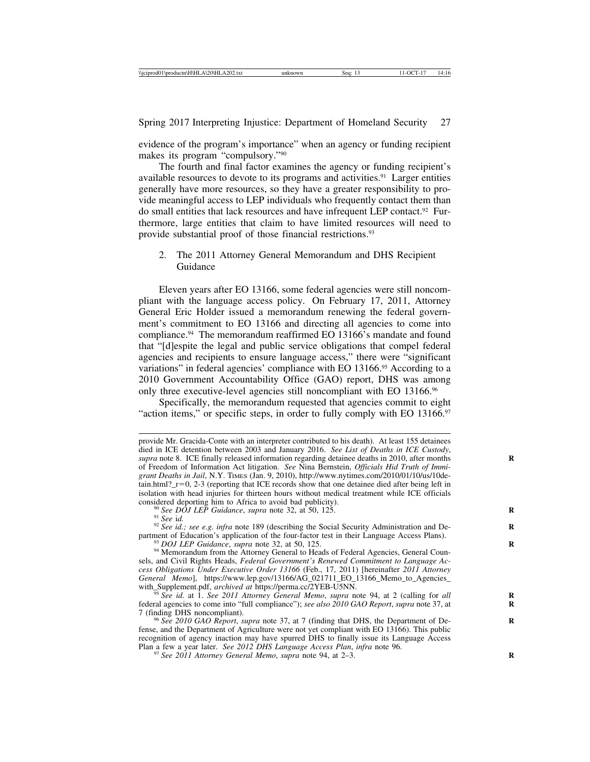evidence of the program's importance" when an agency or funding recipient makes its program "compulsory."90

The fourth and final factor examines the agency or funding recipient's available resources to devote to its programs and activities.<sup>91</sup> Larger entities generally have more resources, so they have a greater responsibility to provide meaningful access to LEP individuals who frequently contact them than do small entities that lack resources and have infrequent LEP contact.92 Furthermore, large entities that claim to have limited resources will need to provide substantial proof of those financial restrictions.93

2. The 2011 Attorney General Memorandum and DHS Recipient Guidance

Eleven years after EO 13166, some federal agencies were still noncompliant with the language access policy. On February 17, 2011, Attorney General Eric Holder issued a memorandum renewing the federal government's commitment to EO 13166 and directing all agencies to come into compliance.94 The memorandum reaffirmed EO 13166's mandate and found that "[d]espite the legal and public service obligations that compel federal agencies and recipients to ensure language access," there were "significant variations" in federal agencies' compliance with EO 13166.95 According to a 2010 Government Accountability Office (GAO) report, DHS was among only three executive-level agencies still noncompliant with EO 13166.<sup>96</sup>

Specifically, the memorandum requested that agencies commit to eight "action items," or specific steps, in order to fully comply with EO 13166.<sup>97</sup>

provide Mr. Gracida-Conte with an interpreter contributed to his death). At least 155 detainees died in ICE detention between 2003 and January 2016. *See List of Deaths in ICE Custody*, *supra* note 8. ICE finally released information regarding detainee deaths in 2010, after months **R** of Freedom of Information Act litigation. *See* Nina Bernstein, *Officials Hid Truth of Immigrant Deaths in Jail*, N.Y. TIMES (Jan. 9, 2010), http://www.nytimes.com/2010/01/10/us/10detain.html? $r=0$ , 2-3 (reporting that ICE records show that one detainee died after being left in isolation with head injuries for thirteen hours without medical treatment while ICE officials considered deporting him to Africa to avoid bad publicity).

<sup>&</sup>lt;sup>90</sup> See DÔJ LEP Guidance, supra note 32, at 50, 125.<br><sup>91</sup> See id.<br><sup>92</sup> See id.; see e.g. infra note 189 (describing the Social Security Administration and Department of Education's application of the four-factor test in

<sup>&</sup>lt;sup>93</sup> DOJ LEP Guidance, supra note 32, at 50, 125.<br><sup>94</sup> Memorandum from the Attorney General to Heads of Federal Agencies, General Counsels, and Civil Rights Heads, *Federal Government's Renewed Commitment to Language Access Obligations Under Executive Order 13166* (Feb., 17, 2011) [hereinafter *2011 Attorney General Memo*], https://www.lep.gov/13166/AG\_021711\_EO\_13166\_Memo\_to\_Agencies\_with\_Supplement.pdf, archived at https://perma.cc/2YEB-U5NN.

<sup>&</sup>lt;sup>95</sup> See id. at 1. See 2011 Attorney General Memo, supra note 94, at 2 (calling for *all* federal agencies to come into "full compliance"); *see also 2010 GAO Report*, *supra* note 37, at 7 (finding DHS noncompliant).

<sup>&</sup>lt;sup>96</sup> See 2010 GAO Report, *supra* note 37, at 7 (finding that DHS, the Department of Defense, and the Department of Agriculture were not yet compliant with EO 13166). This public recognition of agency inaction may have spurred DHS to finally issue its Language Access Plan a few a year later. See 2012 DHS Language Access Plan, infra note 96.

<sup>&</sup>lt;sup>97</sup> See 2011 Attorney General Memo, *supra* note 94, at 2–3.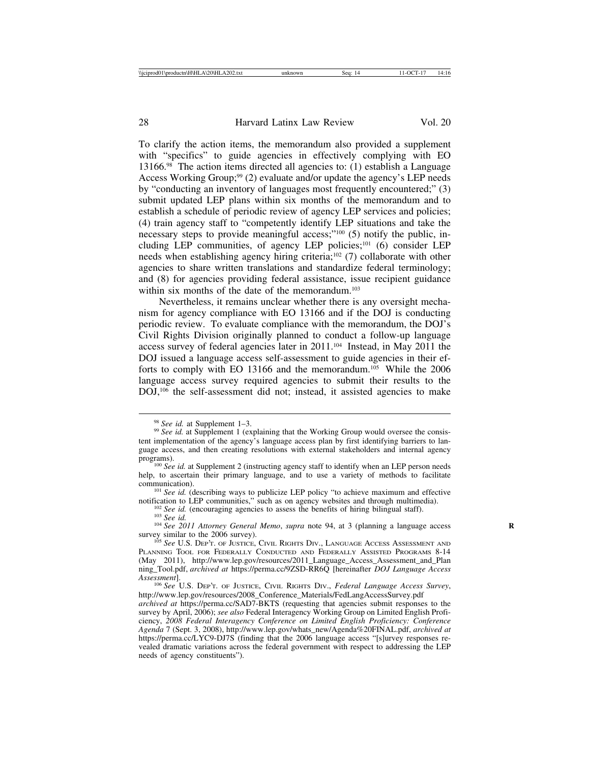To clarify the action items, the memorandum also provided a supplement with "specifics" to guide agencies in effectively complying with EO 13166.98 The action items directed all agencies to: (1) establish a Language Access Working Group;<sup>99</sup> (2) evaluate and/or update the agency's LEP needs by "conducting an inventory of languages most frequently encountered;" (3) submit updated LEP plans within six months of the memorandum and to establish a schedule of periodic review of agency LEP services and policies; (4) train agency staff to "competently identify LEP situations and take the necessary steps to provide meaningful access;"<sup>100</sup> (5) notify the public, including LEP communities, of agency LEP policies; $101$  (6) consider LEP needs when establishing agency hiring criteria;102 (7) collaborate with other agencies to share written translations and standardize federal terminology; and (8) for agencies providing federal assistance, issue recipient guidance within six months of the date of the memorandum.<sup>103</sup>

Nevertheless, it remains unclear whether there is any oversight mechanism for agency compliance with EO 13166 and if the DOJ is conducting periodic review. To evaluate compliance with the memorandum, the DOJ's Civil Rights Division originally planned to conduct a follow-up language access survey of federal agencies later in 2011.104 Instead, in May 2011 the DOJ issued a language access self-assessment to guide agencies in their efforts to comply with EO 13166 and the memorandum.<sup>105</sup> While the 2006 language access survey required agencies to submit their results to the DOJ,<sup>106</sup> the self-assessment did not; instead, it assisted agencies to make

<sup>98</sup> *See id.* at Supplement 1–3. <sup>99</sup> *See id.* at Supplement 1 (explaining that the Working Group would oversee the consistent implementation of the agency's language access plan by first identifying barriers to language access, and then creating resolutions with external stakeholders and internal agency

<sup>&</sup>lt;sup>100</sup> *See id.* at Supplement 2 (instructing agency staff to identify when an LEP person needs help, to ascertain their primary language, and to use a variety of methods to facilitate communication).

<sup>&</sup>lt;sup>101</sup> *See id.* (describing ways to publicize LEP policy "to achieve maximum and effective notification to LEP communities," such as on agency websites and through multimedia).

<sup>&</sup>lt;sup>102</sup> See id. (encouraging agencies to assess the benefits of hiring bilingual staff).<br><sup>103</sup> See id.<br><sup>104</sup> See 2011 Attorney General Memo, supra note 94, at 3 (planning a language access<br>survey similar to the 2006 survey)

<sup>105</sup> See U.S. DEP'T. OF JUSTICE, CIVIL RIGHTS DIV., LANGUAGE ACCESS ASSESSMENT AND PLANNING TOOL FOR FEDERALLY CONDUCTED AND FEDERALLY ASSISTED PROGRAMS 8-14 (May 2011), http://www.lep.gov/resources/2011\_Language\_Access\_Assessment\_and\_Plan ning\_Tool.pdf, *archived at* https://perma.cc/9ZSD-RR6Q [hereinafter *DOJ Language Access*

*Assessment*]. <sup>106</sup> *See* U.S. DEP'T. OF JUSTICE, CIVIL RIGHTS DIV., *Federal Language Access Survey*, http://www.lep.gov/resources/2008\_Conference\_Materials/FedLangAccessSurvey.pdf

*archived at* https://perma.cc/SAD7-BKTS (requesting that agencies submit responses to the survey by April, 2006); *see also* Federal Interagency Working Group on Limited English Proficiency, *2008 Federal Interagency Conference on Limited English Proficiency: Conference Agenda* 7 (Sept. 3, 2008), http://www.lep.gov/whats\_new/Agenda%20FINAL.pdf, *archived at* https://perma.cc/LYC9-DJ7S (finding that the 2006 language access "[s]urvey responses revealed dramatic variations across the federal government with respect to addressing the LEP needs of agency constituents").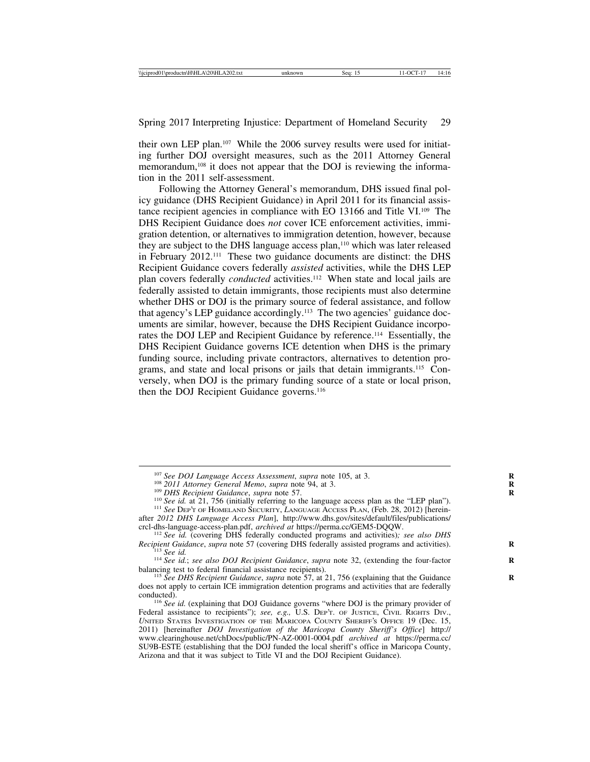their own LEP plan.107 While the 2006 survey results were used for initiating further DOJ oversight measures, such as the 2011 Attorney General memorandum,108 it does not appear that the DOJ is reviewing the information in the 2011 self-assessment.

Following the Attorney General's memorandum, DHS issued final policy guidance (DHS Recipient Guidance) in April 2011 for its financial assistance recipient agencies in compliance with EO 13166 and Title VI.109 The DHS Recipient Guidance does *not* cover ICE enforcement activities, immigration detention, or alternatives to immigration detention, however, because they are subject to the DHS language access plan,110 which was later released in February 2012.111 These two guidance documents are distinct: the DHS Recipient Guidance covers federally *assisted* activities, while the DHS LEP plan covers federally *conducted* activities.<sup>112</sup> When state and local jails are federally assisted to detain immigrants, those recipients must also determine whether DHS or DOJ is the primary source of federal assistance, and follow that agency's LEP guidance accordingly.113 The two agencies' guidance documents are similar, however, because the DHS Recipient Guidance incorporates the DOJ LEP and Recipient Guidance by reference.114 Essentially, the DHS Recipient Guidance governs ICE detention when DHS is the primary funding source, including private contractors, alternatives to detention programs, and state and local prisons or jails that detain immigrants.<sup>115</sup> Conversely, when DOJ is the primary funding source of a state or local prison, then the DOJ Recipient Guidance governs.<sup>116</sup>

<sup>&</sup>lt;sup>107</sup> See DOJ Language Access Assessment, supra note 105, at 3.<br><sup>108</sup> 2011 Attorney General Memo, supra note 94, at 3.<br><sup>109</sup> DHS Recipient Guidance, supra note 57.<br><sup>110</sup> See id. at 21, 756 (initially referring to the langu after *2012 DHS Language Access Plan*], http://www.dhs.gov/sites/default/files/publications/

<sup>&</sup>lt;sup>112</sup> See id. (covering DHS federally conducted programs and activities); see also DHS Recipient Guidance, supra note 57 (covering DHS federally assisted programs and activities).

<sup>&</sup>lt;sup>113</sup> See id.; see also DOJ Recipient Guidance, supra note 32, (extending the four-factor balancing test to federal financial assistance recipients).

<sup>&</sup>lt;sup>115</sup> See DHS Recipient Guidance, *supra* note 57, at 21, 756 (explaining that the Guidance does not apply to certain ICE immigration detention programs and activities that are federally conducted).

<sup>&</sup>lt;sup>116</sup> See id. (explaining that DOJ Guidance governs "where DOJ is the primary provider of Federal assistance to recipients"); *see, e.g.*, U.S. DEP'T. OF JUSTICE, CIVIL RIGHTS DIV., *UNITED STATES INVESTIGATION OF THE MARICOPA COUNTY SHERIFF'S OFFICE 19 (Dec. 15,* 2011) [hereinafter *DOJ Investigation of the Maricopa County Sheriff's Office*] http:// www.clearinghouse.net/chDocs/public/PN-AZ-0001-0004.pdf *archived at* https://perma.cc/ SU9B-ESTE (establishing that the DOJ funded the local sheriff's office in Maricopa County, Arizona and that it was subject to Title VI and the DOJ Recipient Guidance).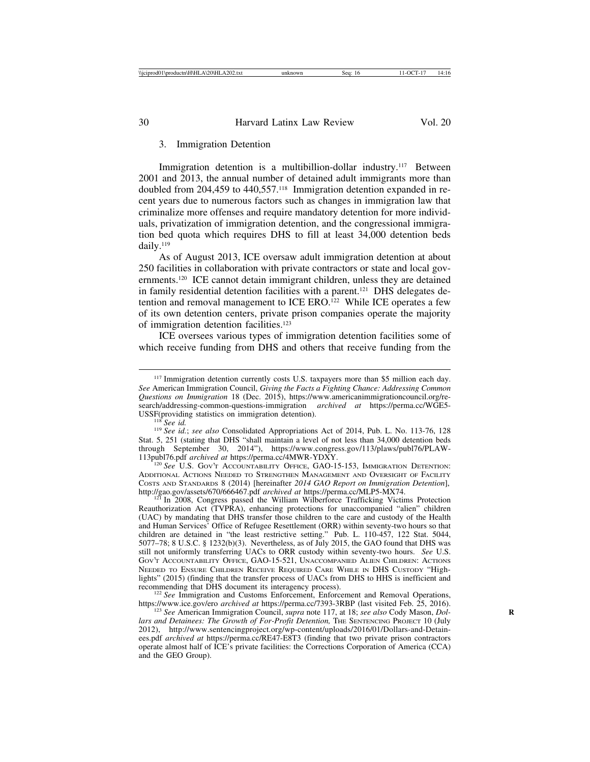#### 3. Immigration Detention

Immigration detention is a multibillion-dollar industry.<sup>117</sup> Between 2001 and 2013, the annual number of detained adult immigrants more than doubled from 204,459 to 440,557.118 Immigration detention expanded in recent years due to numerous factors such as changes in immigration law that criminalize more offenses and require mandatory detention for more individuals, privatization of immigration detention, and the congressional immigration bed quota which requires DHS to fill at least 34,000 detention beds daily.119

As of August 2013, ICE oversaw adult immigration detention at about 250 facilities in collaboration with private contractors or state and local governments.120 ICE cannot detain immigrant children, unless they are detained in family residential detention facilities with a parent.121 DHS delegates detention and removal management to ICE ERO.<sup>122</sup> While ICE operates a few of its own detention centers, private prison companies operate the majority of immigration detention facilities.123

ICE oversees various types of immigration detention facilities some of which receive funding from DHS and others that receive funding from the

<sup>120</sup> See U.S. GOV'T ACCOUNTABILITY OFFICE, GAO-15-153, IMMIGRATION DETENTION: ADDITIONAL ACTIONS NEEDED TO STRENGTHEN MANAGEMENT AND OVERSIGHT OF FACILITY COSTS AND STANDARDS 8 (2014) [hereinafter *2014 GAO Report on Immigration Detention*],

http://gao.gov/assets/670/666467.pdf *archived at* https://perma.cc/MLP5-MX74. <sup>121</sup> In 2008, Congress passed the William Wilberforce Trafficking Victims Protection Reauthorization Act (TVPRA), enhancing protections for unaccompanied "alien" children (UAC) by mandating that DHS transfer those children to the care and custody of the Health and Human Services' Office of Refugee Resettlement (ORR) within seventy-two hours so that children are detained in "the least restrictive setting." Pub. L. 110-457, 122 Stat. 5044, 5077–78; 8 U.S.C. § 1232(b)(3). Nevertheless, as of July 2015, the GAO found that DHS was still not uniformly transferring UACs to ORR custody within seventy-two hours. *See* U.S. GOV'T ACCOUNTABILITY OFFICE, GAO-15-521, UNACCOMPANIED ALIEN CHILDREN: ACTIONS NEEDED TO ENSURE CHILDREN RECEIVE REQUIRED CARE WHILE IN DHS CUSTODY "Highlights" (2015) (finding that the transfer process of UACs from DHS to HHS is inefficient and

recommending that DHS document its interagency process).<br><sup>122</sup> *See* Immigration and Customs Enforcement, Enforcement and Removal Operations,<br>https://www.ice.gov/ero *archived at* https://perma.cc/7393-3RBP (last visited F

<sup>123</sup> See American Immigration Council, *supra* note 117, at 18; *see also* Cody Mason, *Dollars and Detainees: The Growth of For-Profit Detention, THE SENTENCING PROJECT 10 (July* 2012), http://www.sentencingproject.org/wp-content/uploads/2016/01/Dollars-and-Detainees.pdf *archived at* https://perma.cc/RE47-E8T3 (finding that two private prison contractors operate almost half of ICE's private facilities: the Corrections Corporation of America (CCA) and the GEO Group).

<sup>&</sup>lt;sup>117</sup> Immigration detention currently costs U.S. taxpayers more than \$5 million each day. *See* American Immigration Council, *Giving the Facts a Fighting Chance: Addressing Common Questions on Immigration* 18 (Dec. 2015), https://www.americanimmigrationcouncil.org/research/addressing-common-questions-immigration *archived at* https://perma.cc/WGE5- USSF(providing statistics on immigration detention). <sup>118</sup> *See id.* <sup>119</sup> *See id.*; *see also* Consolidated Appropriations Act of 2014, Pub. L. No. 113-76, 128

Stat. 5, 251 (stating that DHS "shall maintain a level of not less than 34,000 detention beds through September 30, 2014"), https://www.congress.gov/113/plaws/publ76/PLAW-113publ76.pdf *archived at* https://perma.cc/4MWR-YDXY.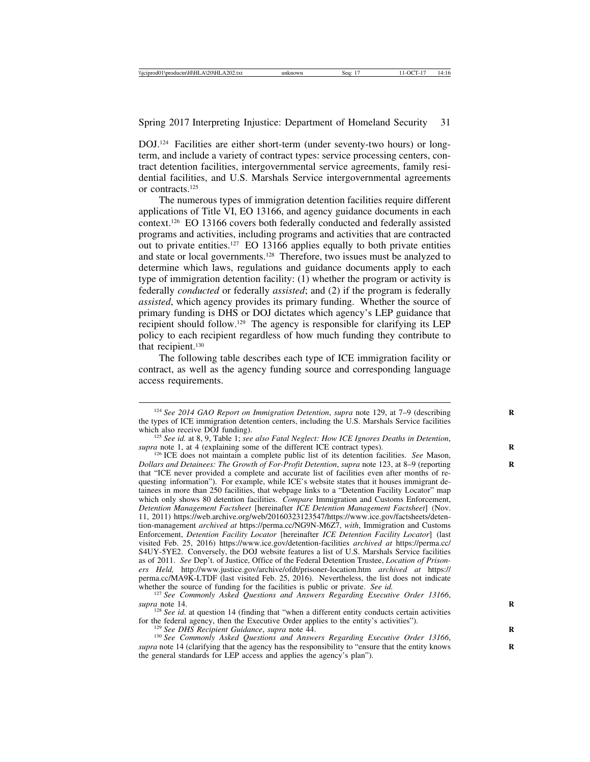DOJ.124 Facilities are either short-term (under seventy-two hours) or longterm, and include a variety of contract types: service processing centers, contract detention facilities, intergovernmental service agreements, family residential facilities, and U.S. Marshals Service intergovernmental agreements or contracts.125

The numerous types of immigration detention facilities require different applications of Title VI, EO 13166, and agency guidance documents in each context.126 EO 13166 covers both federally conducted and federally assisted programs and activities, including programs and activities that are contracted out to private entities.127 EO 13166 applies equally to both private entities and state or local governments.128 Therefore, two issues must be analyzed to determine which laws, regulations and guidance documents apply to each type of immigration detention facility: (1) whether the program or activity is federally *conducted* or federally *assisted*; and (2) if the program is federally *assisted*, which agency provides its primary funding. Whether the source of primary funding is DHS or DOJ dictates which agency's LEP guidance that recipient should follow.129 The agency is responsible for clarifying its LEP policy to each recipient regardless of how much funding they contribute to that recipient.<sup>130</sup>

The following table describes each type of ICE immigration facility or contract, as well as the agency funding source and corresponding language access requirements.

<sup>&</sup>lt;sup>124</sup> *See 2014 GAO Report on Immigration Detention, supra note 129, at 7–9 (describing* the types of ICE immigration detention centers, including the U.S. Marshals Service facilities which also receive DOJ funding).

<sup>&</sup>lt;sup>125</sup> *See id.* at 8, 9, Table 1; *see also Fatal Neglect: How ICE Ignores Deaths in Detention, supra* note 1, at 4 (explaining some of the different ICE contract types).

<sup>&</sup>lt;sup>126</sup> ICE does not maintain a complete public list of its detention facilities. *See* Mason, *Dollars and Detainees: The Growth of For-Profit Detention, supra note 123, at 8–9 (reporting* that "ICE never provided a complete and accurate list of facilities even after months of requesting information"). For example, while ICE's website states that it houses immigrant detainees in more than 250 facilities, that webpage links to a "Detention Facility Locator" map which only shows 80 detention facilities. *Compare* Immigration and Customs Enforcement, *Detention Management Factsheet* [hereinafter *ICE Detention Management Factsheet*] (Nov. 11, 2011) https://web.archive.org/web/20160323123547/https://www.ice.gov/factsheets/detention-management *archived at* https://perma.cc/NG9N-M6Z7, *with*, Immigration and Customs Enforcement, *Detention Facility Locator* [hereinafter *ICE Detention Facility Locator*] (last visited Feb. 25, 2016) https://www.ice.gov/detention-facilities *archived at* https://perma.cc/ S4UY-5YE2. Conversely, the DOJ website features a list of U.S. Marshals Service facilities as of 2011. *See* Dep't. of Justice, Office of the Federal Detention Trustee, *Location of Prisoners Held,* http://www.justice.gov/archive/ofdt/prisoner-location.htm *archived at* https:// perma.cc/MA9K-LTDF (last visited Feb. 25, 2016). Nevertheless, the list does not indicate whether the source of funding for the facilities is public or private. See id.

<sup>&</sup>lt;sup>127</sup> See Commonly Asked Questions and Answers Regarding Executive Order 13166, supra note 14.

<sup>&</sup>lt;sup>128</sup> *See id.* at question 14 (finding that "when a different entity conducts certain activities for the federal agency, then the Executive Order applies to the entity's activities").

<sup>&</sup>lt;sup>129</sup> See DHS Recipient Guidance, supra note 44.<br><sup>130</sup> See Commonly Asked Questions and Answers Regarding Executive Order 13166, *supra* note 14 (clarifying that the agency has the responsibility to "ensure that the entity knows" the general standards for LEP access and applies the agency's plan").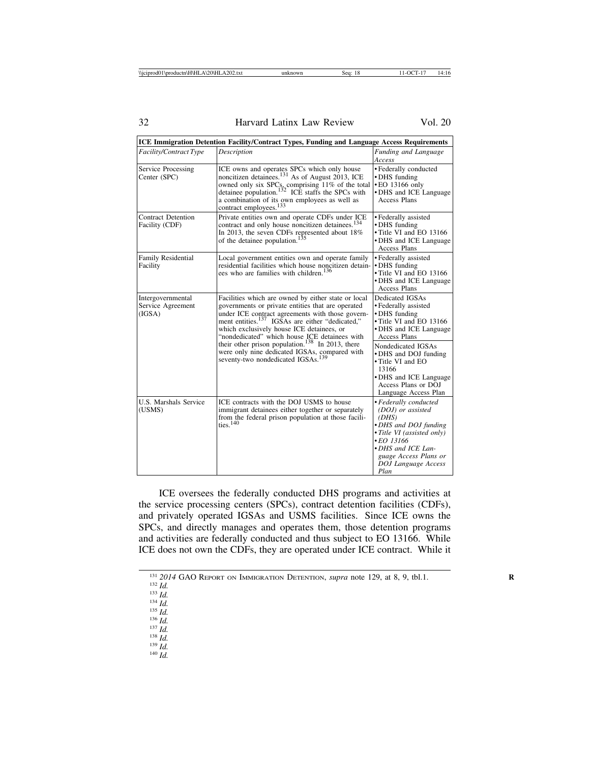| ICE Immigration Detention Facility/Contract Types, Funding and Language Access Requirements |                                                                                                                                                                                                                                                                                                                           |                                                                                                                                                                                                              |  |  |  |  |  |
|---------------------------------------------------------------------------------------------|---------------------------------------------------------------------------------------------------------------------------------------------------------------------------------------------------------------------------------------------------------------------------------------------------------------------------|--------------------------------------------------------------------------------------------------------------------------------------------------------------------------------------------------------------|--|--|--|--|--|
| Facility/Contract Type                                                                      | <b>Description</b>                                                                                                                                                                                                                                                                                                        | Funding and Language<br>Access                                                                                                                                                                               |  |  |  |  |  |
| Service Processing<br>Center (SPC)                                                          | ICE owns and operates SPCs which only house<br>noncitizen detainees. <sup>131</sup> As of August 2013, ICE<br>owned only six SPCs, comprising 11% of the total<br>detainee population. <sup>132</sup> ICE staffs the SPCs with<br>a combination of its own employees as well as<br>contract employees. <sup>133</sup>     | • Federally conducted<br>• DHS funding<br>$\cdot$ EO 13166 only<br>• DHS and ICE Language<br><b>Access Plans</b>                                                                                             |  |  |  |  |  |
| <b>Contract Detention</b><br>Facility (CDF)                                                 | Private entities own and operate CDFs under ICE<br>contract and only house noncitizen detainees. <sup>134</sup><br>In 2013, the seven CDFs represented about 18%<br>of the detainee population. <sup>135</sup>                                                                                                            | • Federally assisted<br>• DHS funding<br>• Title VI and EO 13166<br>• DHS and ICE Language<br>Access Plans                                                                                                   |  |  |  |  |  |
| Family Residential<br>Facility                                                              | Local government entities own and operate family<br>residential facilities which house noncitizen detain-<br>ees who are families with children. <sup>136</sup>                                                                                                                                                           | • Federally assisted<br>• DHS funding<br>• Title VI and EO 13166<br>• DHS and ICE Language<br><b>Access Plans</b>                                                                                            |  |  |  |  |  |
| Intergovernmental<br>Service Agreement<br>(IGSA)                                            | Facilities which are owned by either state or local<br>governments or private entities that are operated<br>under ICE contract agreements with those govern-<br>ment entities. <sup>137</sup> IGSAs are either "dedicated,"<br>which exclusively house ICE detainees, or<br>"nondedicated" which house ICE detainees with | Dedicated IGSAs<br>• Federally assisted<br>• DHS funding<br>• Title VI and EO 13166<br>• DHS and ICE Language<br><b>Access Plans</b>                                                                         |  |  |  |  |  |
|                                                                                             | their other prison population. $138$ In 2013, there<br>were only nine dedicated IGSAs, compared with<br>seventy-two nondedicated IGSAs. <sup>139</sup>                                                                                                                                                                    | Nondedicated IGSAs<br>• DHS and DOJ funding<br>• Title VI and EO<br>13166<br>• DHS and ICE Language<br>Access Plans or DOJ<br>Language Access Plan                                                           |  |  |  |  |  |
| <b>U.S. Marshals Service</b><br>(USMS)                                                      | ICE contracts with the DOJ USMS to house<br>immigrant detainees either together or separately<br>from the federal prison population at those facili-<br>ties. $140$                                                                                                                                                       | • Federally conducted<br>(DOJ) or assisted<br>(DHS)<br>• DHS and DOJ funding<br>• Title VI (assisted only)<br>$\cdot$ EO 13166<br>• DHS and ICE Lan-<br>guage Access Plans or<br>DOJ Language Access<br>Plan |  |  |  |  |  |

ICE oversees the federally conducted DHS programs and activities at the service processing centers (SPCs), contract detention facilities (CDFs), and privately operated IGSAs and USMS facilities. Since ICE owns the SPCs, and directly manages and operates them, those detention programs and activities are federally conducted and thus subject to EO 13166. While ICE does not own the CDFs, they are operated under ICE contract. While it

<sup>131</sup> 2014 GAO REPORT ON IMMIGRATION DETENTION, *supra* note 129, at 8, 9, tbl.1.<br><sup>132</sup> Id.<br><sup>133</sup> Id.<br><sup>135</sup> Id.<br><sup>136</sup> Id.<br><sup>136</sup> Id.<br><sup>136</sup> Id.<br><sup>136</sup> Id.<br><sup>136</sup> Id.

- 
- 
- 
- 
- 
- 
- 
-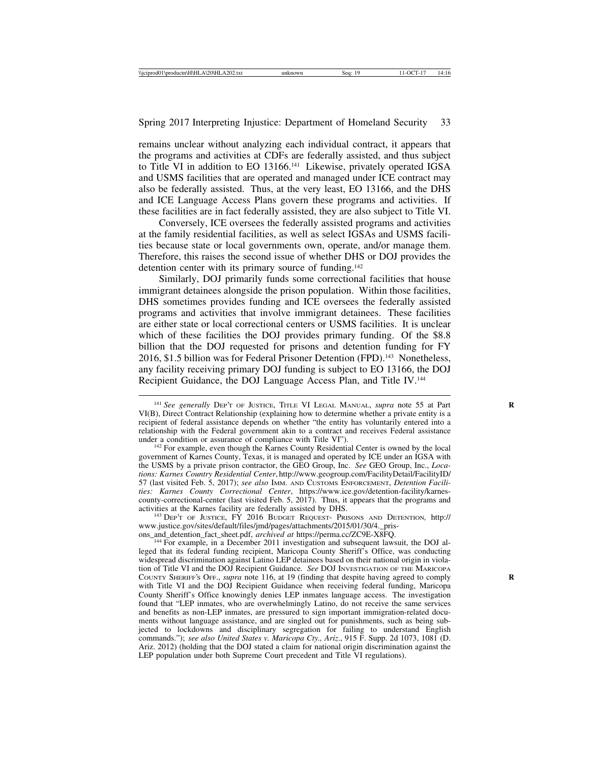remains unclear without analyzing each individual contract, it appears that the programs and activities at CDFs are federally assisted, and thus subject to Title VI in addition to EO 13166.<sup>141</sup> Likewise, privately operated IGSA and USMS facilities that are operated and managed under ICE contract may also be federally assisted. Thus, at the very least, EO 13166, and the DHS and ICE Language Access Plans govern these programs and activities. If these facilities are in fact federally assisted, they are also subject to Title VI.

Conversely, ICE oversees the federally assisted programs and activities at the family residential facilities, as well as select IGSAs and USMS facilities because state or local governments own, operate, and/or manage them. Therefore, this raises the second issue of whether DHS or DOJ provides the detention center with its primary source of funding.142

Similarly, DOJ primarily funds some correctional facilities that house immigrant detainees alongside the prison population. Within those facilities, DHS sometimes provides funding and ICE oversees the federally assisted programs and activities that involve immigrant detainees. These facilities are either state or local correctional centers or USMS facilities. It is unclear which of these facilities the DOJ provides primary funding. Of the \$8.8 billion that the DOJ requested for prisons and detention funding for FY 2016, \$1.5 billion was for Federal Prisoner Detention (FPD).143 Nonetheless, any facility receiving primary DOJ funding is subject to EO 13166, the DOJ Recipient Guidance, the DOJ Language Access Plan, and Title IV.144

www.justice.gov/sites/default/files/jmd/pages/attachments/2015/01/30/4.\_pris-<br>ons\_and\_detention\_fact\_sheet.pdf, archived at https://perma.cc/ZC9E-X8FQ.

<sup>144</sup> For example, in a December 2011 investigation and subsequent lawsuit, the DOJ alleged that its federal funding recipient, Maricopa County Sheriff's Office, was conducting widespread discrimination against Latino LEP detainees based on their national origin in violation of Title VI and the DOJ Recipient Guidance. *See* DOJ INVESTIGATION OF THE MARICOPA COUNTY SHERIFF'S OFF., *supra* note 116, at 19 (finding that despite having agreed to comply **R** with Title VI and the DOJ Recipient Guidance when receiving federal funding, Maricopa County Sheriff's Office knowingly denies LEP inmates language access. The investigation found that "LEP inmates, who are overwhelmingly Latino, do not receive the same services and benefits as non-LEP inmates, are pressured to sign important immigration-related documents without language assistance, and are singled out for punishments, such as being subjected to lockdowns and disciplinary segregation for failing to understand English commands."); *see also United States v. Maricopa Cty., Ariz*., 915 F. Supp. 2d 1073, 1081 (D. Ariz. 2012) (holding that the DOJ stated a claim for national origin discrimination against the LEP population under both Supreme Court precedent and Title VI regulations).

<sup>&</sup>lt;sup>141</sup> See generally DEP'T OF JUSTICE, TITLE VI LEGAL MANUAL, *supra* note 55 at Part VI(B), Direct Contract Relationship (explaining how to determine whether a private entity is a recipient of federal assistance depends on whether "the entity has voluntarily entered into a relationship with the Federal government akin to a contract and receives Federal assistance under a condition or assurance of compliance with Title VI").

 $142$  For example, even though the Karnes County Residential Center is owned by the local government of Karnes County, Texas, it is managed and operated by ICE under an IGSA with the USMS by a private prison contractor, the GEO Group, Inc. *See* GEO Group, Inc., *Locations: Karnes Country Residential Center*, http://www.geogroup.com/FacilityDetail/FacilityID/ 57 (last visited Feb. 5, 2017); *see also* IMM. AND CUSTOMS ENFORCEMENT, *Detention Facilities: Karnes County Correctional Center*, https://www.ice.gov/detention-facility/karnescounty-correctional-center (last visited Feb. 5, 2017). Thus, it appears that the programs and activities at the Karnes facility are federally assisted by DHS. <sup>143</sup> DEP'T OF JUSTICE, FY 2016 BUDGET REQUEST- PRISONS AND DETENTION*,* http://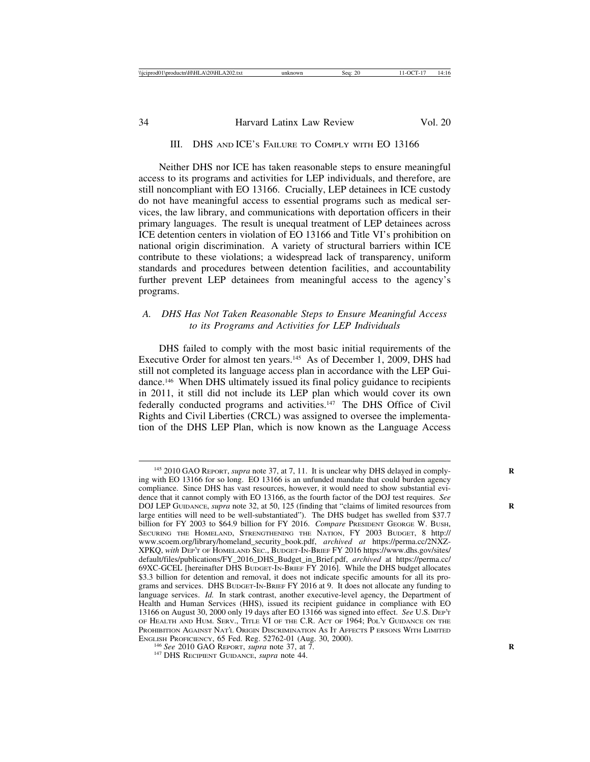#### III. DHS AND ICE'S FAILURE TO COMPLY WITH EO 13166

Neither DHS nor ICE has taken reasonable steps to ensure meaningful access to its programs and activities for LEP individuals, and therefore, are still noncompliant with EO 13166. Crucially, LEP detainees in ICE custody do not have meaningful access to essential programs such as medical services, the law library, and communications with deportation officers in their primary languages. The result is unequal treatment of LEP detainees across ICE detention centers in violation of EO 13166 and Title VI's prohibition on national origin discrimination. A variety of structural barriers within ICE contribute to these violations; a widespread lack of transparency, uniform standards and procedures between detention facilities, and accountability further prevent LEP detainees from meaningful access to the agency's programs.

## *A. DHS Has Not Taken Reasonable Steps to Ensure Meaningful Access to its Programs and Activities for LEP Individuals*

DHS failed to comply with the most basic initial requirements of the Executive Order for almost ten years.145 As of December 1, 2009, DHS had still not completed its language access plan in accordance with the LEP Guidance.146 When DHS ultimately issued its final policy guidance to recipients in 2011, it still did not include its LEP plan which would cover its own federally conducted programs and activities.147 The DHS Office of Civil Rights and Civil Liberties (CRCL) was assigned to oversee the implementation of the DHS LEP Plan, which is now known as the Language Access

<sup>&</sup>lt;sup>145</sup> 2010 GAO REPORT, *supra* note 37, at 7, 11. It is unclear why DHS delayed in complying with EO 13166 for so long. EO 13166 is an unfunded mandate that could burden agency compliance. Since DHS has vast resources, however, it would need to show substantial evidence that it cannot comply with EO 13166, as the fourth factor of the DOJ test requires. *See* DOJ LEP GUIDANCE, *supra* note 32, at 50, 125 (finding that "claims of limited resources from **R** large entities will need to be well-substantiated"). The DHS budget has swelled from \$37.7 billion for FY 2003 to \$64.9 billion for FY 2016. *Compare* PRESIDENT GEORGE W. BUSH, SECURING THE HOMELAND, STRENGTHENING THE NATION, FY 2003 BUDGET, 8 http:// www.scoem.org/library/homeland\_security\_book.pdf, *archived at* https://perma.cc/2NXZ-XPKQ, *with* DEP'T OF HOMELAND SEC., BUDGET-IN-BRIEF FY 2016 https://www.dhs.gov/sites/ default/files/publications/FY\_2016\_DHS\_Budget\_in\_Brief.pdf, *archived* at https://perma.cc/ 69XC-GCEL [hereinafter DHS BUDGET-IN-BRIEF FY 2016]. While the DHS budget allocates \$3.3 billion for detention and removal, it does not indicate specific amounts for all its programs and services. DHS BUDGET-IN-BRIEF FY 2016 at 9. It does not allocate any funding to language services. *Id.* In stark contrast, another executive-level agency, the Department of Health and Human Services (HHS), issued its recipient guidance in compliance with EO 13166 on August 30, 2000 only 19 days after EO 13166 was signed into effect. *See* U.S. DEP'T OF HEALTH AND HUM. SERV., TITLE VI OF THE C.R. ACT OF 1964; POL'Y GUIDANCE ON THE PROHIBITION AGAINST NAT'L ORIGIN DISCRIMINATION AS IT AFFECTS P ERSONS WITH LIMITED ENGLISH PROFICIENCY, 65 Fed. Reg. 52762-01 (Aug. 30, 2000). <sup>146</sup> *See* 2010 GAO REPORT, *supra* note 37, at 7. **<sup>R</sup>** <sup>147</sup> DHS RECIPIENT GUIDANCE, *supra* note 44.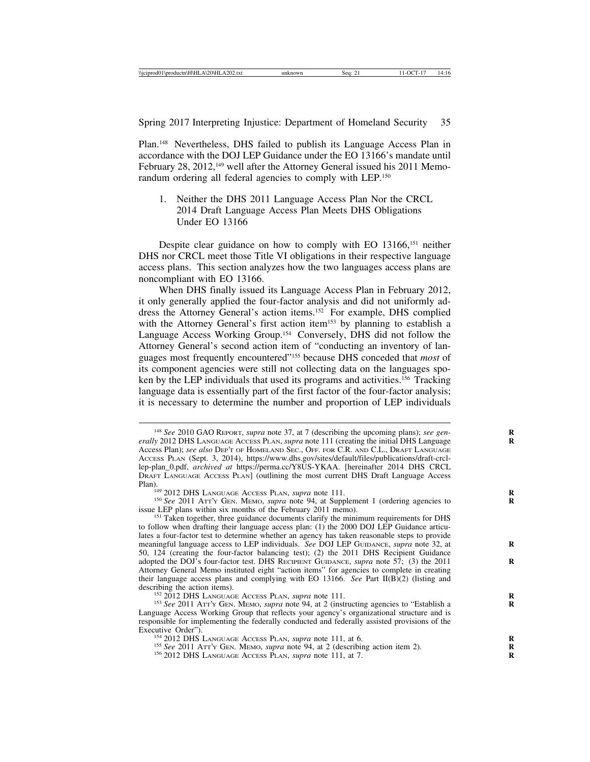Plan.148 Nevertheless, DHS failed to publish its Language Access Plan in accordance with the DOJ LEP Guidance under the EO 13166's mandate until February 28, 2012,<sup>149</sup> well after the Attorney General issued his 2011 Memorandum ordering all federal agencies to comply with LEP.150

1. Neither the DHS 2011 Language Access Plan Nor the CRCL 2014 Draft Language Access Plan Meets DHS Obligations Under EO 13166

Despite clear guidance on how to comply with EO 13166,<sup>151</sup> neither DHS nor CRCL meet those Title VI obligations in their respective language access plans. This section analyzes how the two languages access plans are noncompliant with EO 13166.

When DHS finally issued its Language Access Plan in February 2012, it only generally applied the four-factor analysis and did not uniformly address the Attorney General's action items.152 For example, DHS complied with the Attorney General's first action item<sup>153</sup> by planning to establish a Language Access Working Group.154 Conversely, DHS did not follow the Attorney General's second action item of "conducting an inventory of languages most frequently encountered"155 because DHS conceded that *most* of its component agencies were still not collecting data on the languages spoken by the LEP individuals that used its programs and activities.156 Tracking language data is essentially part of the first factor of the four-factor analysis; it is necessary to determine the number and proportion of LEP individuals

Plan).<br><sup>149</sup> 2012 DHS LANGUAGE ACCESS PLAN, *supra* note 111.<br><sup>150</sup> *See* 2011 ATT'Y GEN. MEMO, *supra* note 94, at Supplement 1 (ordering agencies to issue LEP plans within six months of the February 2011 memo).

<sup>&</sup>lt;sup>148</sup> *See* 2010 GAO REPORT, *supra* note 37, at 7 (describing the upcoming plans); *see generally* 2012 DHS LANGUAGE ACCESS PLAN, *supra* note 111 (creating the initial DHS Language **R** Access Plan); *see also* DEP'T OF HOMELAND SEC., OFF. FOR C.R. AND C.L., DRAFT LANGUAGE ACCESS PLAN (Sept. 3, 2014), https://www.dhs.gov/sites/default/files/publications/draft-crcllep-plan\_0.pdf, *archived at* https://perma.cc/Y8US-YKAA. [hereinafter 2014 DHS CRCL DRAFT LANGUAGE ACCESS PLAN] (outlining the most current DHS Draft Language Access

<sup>&</sup>lt;sup>151</sup> Taken together, three guidance documents clarify the minimum requirements for DHS to follow when drafting their language access plan: (1) the 2000 DOJ LEP Guidance articulates a four-factor test to determine whether an agency has taken reasonable steps to provide meaningful language access to LEP individuals. *See* DOJ LEP GUIDANCE, *supra* note 32, at **R** 50, 124 (creating the four-factor balancing test); (2) the 2011 DHS Recipient Guidance adopted the DOJ's four-factor test. DHS RECIPIENT GUIDANCE, *supra* note 57; (3) the 2011 Attorney General Memo instituted eight "action items" for agencies to complete in creating their language access plans and complying with EO 13166. *See* Part II(B)(2) (listing and

<sup>&</sup>lt;sup>152</sup> 2012 DHS LANGUAGE ACCESS PLAN, *supra* note 111.<br><sup>153</sup> *See* 2011 ATT'Y GEN. MEMO, *supra* note 94, at 2 (instructing agencies to "Establish a Language Access Working Group that reflects your agency's organizational structure and is responsible for implementing the federally conducted and federally assisted provisions of the

<sup>&</sup>lt;sup>154</sup> 2012 DHS LANGUAGE ACCESS PLAN, *supra* note 111, at 6.<br><sup>155</sup> See 2011 ATT'Y GEN. MEMO, *supra* note 94, at 2 (describing action item 2).<br><sup>156</sup> 2012 DHS LANGUAGE ACCESS PLAN, *supra* note 111, at 7.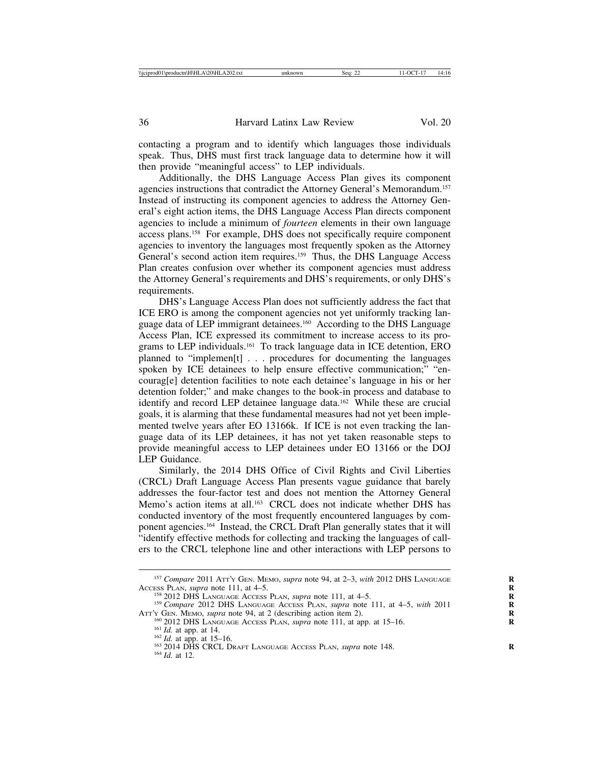contacting a program and to identify which languages those individuals speak. Thus, DHS must first track language data to determine how it will then provide "meaningful access" to LEP individuals.

Additionally, the DHS Language Access Plan gives its component agencies instructions that contradict the Attorney General's Memorandum.157 Instead of instructing its component agencies to address the Attorney General's eight action items, the DHS Language Access Plan directs component agencies to include a minimum of *fourteen* elements in their own language access plans.158 For example, DHS does not specifically require component agencies to inventory the languages most frequently spoken as the Attorney General's second action item requires.<sup>159</sup> Thus, the DHS Language Access Plan creates confusion over whether its component agencies must address the Attorney General's requirements and DHS's requirements, or only DHS's requirements.

DHS's Language Access Plan does not sufficiently address the fact that ICE ERO is among the component agencies not yet uniformly tracking language data of LEP immigrant detainees.160 According to the DHS Language Access Plan, ICE expressed its commitment to increase access to its programs to LEP individuals.161 To track language data in ICE detention, ERO planned to "implemen[t] . . . procedures for documenting the languages spoken by ICE detainees to help ensure effective communication;" "encourag[e] detention facilities to note each detainee's language in his or her detention folder;" and make changes to the book-in process and database to identify and record LEP detainee language data.162 While these are crucial goals, it is alarming that these fundamental measures had not yet been implemented twelve years after EO 13166k. If ICE is not even tracking the language data of its LEP detainees, it has not yet taken reasonable steps to provide meaningful access to LEP detainees under EO 13166 or the DOJ LEP Guidance.

Similarly, the 2014 DHS Office of Civil Rights and Civil Liberties (CRCL) Draft Language Access Plan presents vague guidance that barely addresses the four-factor test and does not mention the Attorney General Memo's action items at all.<sup>163</sup> CRCL does not indicate whether DHS has conducted inventory of the most frequently encountered languages by component agencies.164 Instead, the CRCL Draft Plan generally states that it will "identify effective methods for collecting and tracking the languages of callers to the CRCL telephone line and other interactions with LEP persons to

<sup>&</sup>lt;sup>157</sup> *Compare* 2011 ATT'Y GEN. MEMO, *supra* note 94, at 2–3, *with* 2012 DHS LANGUAGE ACCESS PLAN, *supra* note 111, at 4–5.

<sup>&</sup>lt;sup>158</sup> 2012 DHS LANGUAGE ACCESS PLAN, *supra* note 111, at 4–5.<br><sup>159</sup> Compare 2012 DHS LANGUAGE ACCESS PLAN, *supra* note 111, at 4–5, *with* 2011<br>ATT'Y GEN. MEMO, *supra* note 94, at 2 (describing action item 2).

<sup>&</sup>lt;sup>160</sup> 2012 DHS LANGUAGE ACCESS PLAN, *supra* note 111, at app. at 15–16.<br><sup>161</sup> *Id.* at app. at 14.<br><sup>162</sup> *Id.* at app. at 15–16.<br><sup>163</sup> 2014 DHS CRCL DRAFT LANGUAGE ACCESS PLAN, *supra* note 148.<br><sup>164</sup> *Id.* at 12.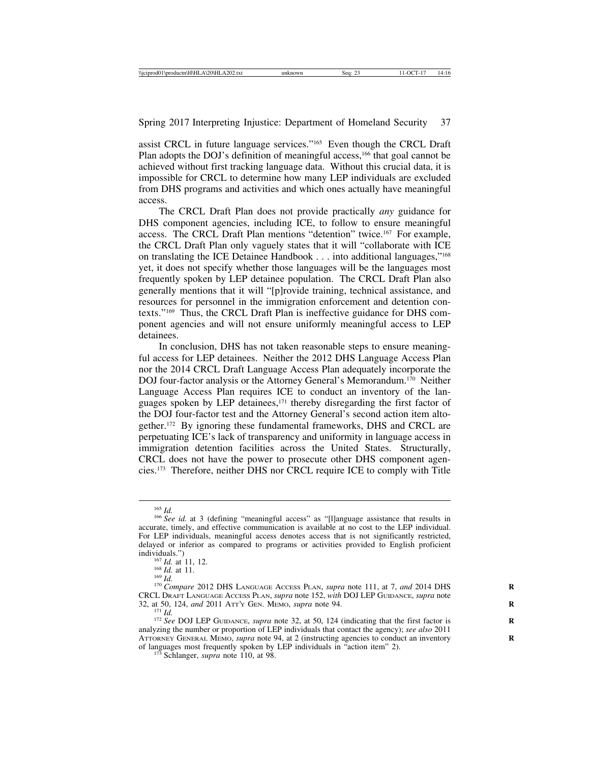assist CRCL in future language services."165 Even though the CRCL Draft Plan adopts the DOJ's definition of meaningful access,166 that goal cannot be achieved without first tracking language data. Without this crucial data, it is impossible for CRCL to determine how many LEP individuals are excluded from DHS programs and activities and which ones actually have meaningful access.

The CRCL Draft Plan does not provide practically *any* guidance for DHS component agencies, including ICE, to follow to ensure meaningful access. The CRCL Draft Plan mentions "detention" twice.167 For example, the CRCL Draft Plan only vaguely states that it will "collaborate with ICE on translating the ICE Detainee Handbook . . . into additional languages,"168 yet, it does not specify whether those languages will be the languages most frequently spoken by LEP detainee population. The CRCL Draft Plan also generally mentions that it will "[p]rovide training, technical assistance, and resources for personnel in the immigration enforcement and detention contexts."169 Thus, the CRCL Draft Plan is ineffective guidance for DHS component agencies and will not ensure uniformly meaningful access to LEP detainees.

In conclusion, DHS has not taken reasonable steps to ensure meaningful access for LEP detainees. Neither the 2012 DHS Language Access Plan nor the 2014 CRCL Draft Language Access Plan adequately incorporate the DOJ four-factor analysis or the Attorney General's Memorandum.170 Neither Language Access Plan requires ICE to conduct an inventory of the languages spoken by LEP detainees,<sup>171</sup> thereby disregarding the first factor of the DOJ four-factor test and the Attorney General's second action item altogether.172 By ignoring these fundamental frameworks, DHS and CRCL are perpetuating ICE's lack of transparency and uniformity in language access in immigration detention facilities across the United States. Structurally, CRCL does not have the power to prosecute other DHS component agencies.173 Therefore, neither DHS nor CRCL require ICE to comply with Title

<sup>&</sup>lt;sup>165</sup> *Id.* <sup>166</sup> *See id.* at 3 (defining "meaningful access" as "[l]anguage assistance that results in accurate, timely, and effective communication is available at no cost to the LEP individual. For LEP individuals, meaningful access denotes access that is not significantly restricted, delayed or inferior as compared to programs or activities provided to English proficient

<sup>&</sup>lt;sup>167</sup> *Id.* at 11, 12.<br><sup>168</sup> *Id.* at 11.<br><sup>169</sup> *Id.* 170 *Compare* 2012 DHS LANGUAGE ACCESS PLAN, *supra* note 111, at 7, *and* 2014 DHS CRCL DRAFT LANGUAGE ACCESS PLAN, *supra* note 152, *with* DOJ LEP GUIDANCE, *supra* note

<sup>&</sup>lt;sup>171</sup> *Id. Pand* 2011 LEP GUIDANCE, *supra* note 32, at 50, 124 (indicating that the first factor is **R** 172 *See* DOJ LEP GUIDANCE, *supra* note 32, at 50, 124 (indicating that the first factor is analyzing the number or proportion of LEP individuals that contact the agency); *see also* 2011 ATTORNEY GENERAL MEMO, *supra* note 94, at 2 (instructing agencies to conduct an inventory **R** of languages most frequently spoken by LEP individuals in "action item" 2). <sup>173</sup> Schlanger, *supra* note 110, at 98.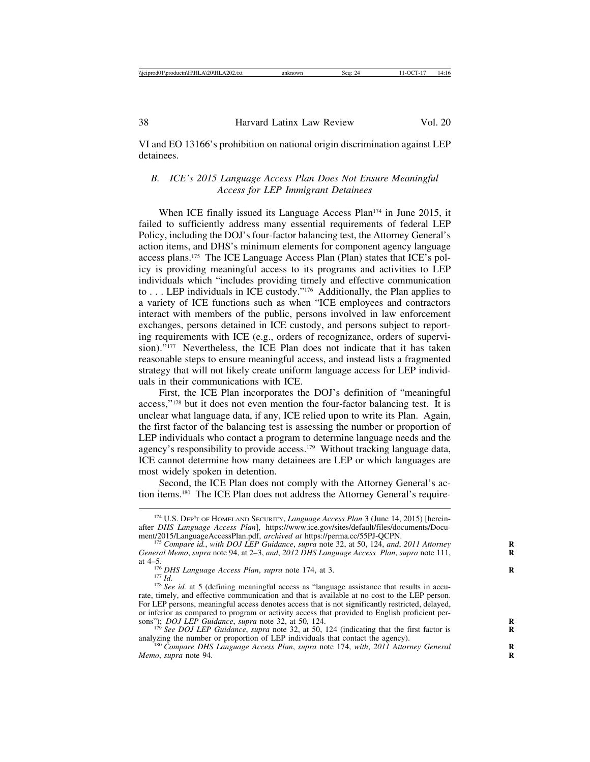VI and EO 13166's prohibition on national origin discrimination against LEP detainees.

# *B. ICE's 2015 Language Access Plan Does Not Ensure Meaningful Access for LEP Immigrant Detainees*

When ICE finally issued its Language Access Plan<sup>174</sup> in June 2015, it failed to sufficiently address many essential requirements of federal LEP Policy, including the DOJ's four-factor balancing test, the Attorney General's action items, and DHS's minimum elements for component agency language access plans.175 The ICE Language Access Plan (Plan) states that ICE's policy is providing meaningful access to its programs and activities to LEP individuals which "includes providing timely and effective communication to . . . LEP individuals in ICE custody."176 Additionally, the Plan applies to a variety of ICE functions such as when "ICE employees and contractors interact with members of the public, persons involved in law enforcement exchanges, persons detained in ICE custody, and persons subject to reporting requirements with ICE (e.g., orders of recognizance, orders of supervision)."<sup>177</sup> Nevertheless, the ICE Plan does not indicate that it has taken reasonable steps to ensure meaningful access, and instead lists a fragmented strategy that will not likely create uniform language access for LEP individuals in their communications with ICE.

First, the ICE Plan incorporates the DOJ's definition of "meaningful access,"178 but it does not even mention the four-factor balancing test. It is unclear what language data, if any, ICE relied upon to write its Plan. Again, the first factor of the balancing test is assessing the number or proportion of LEP individuals who contact a program to determine language needs and the agency's responsibility to provide access.<sup>179</sup> Without tracking language data, ICE cannot determine how many detainees are LEP or which languages are most widely spoken in detention.

Second, the ICE Plan does not comply with the Attorney General's action items.180 The ICE Plan does not address the Attorney General's require-

<sup>174</sup> U.S. DEP'T OF HOMELAND SECURITY, *Language Access Plan* 3 (June 14, 2015) [hereinafter *DHS Language Access Plan*], https://www.ice.gov/sites/default/files/documents/Docu-

<sup>&</sup>lt;sup>175</sup> Compare id., with DOJ LEP Guidance, *supra* note 32, at 50, 124, *and*, 2011 Attorney *General Memo*, *supra* note 94, at 2–3, *and*, *2012 DHS Language Access Plan*, *supra* note 111, **R** at 4–5.<br>  $^{176}$  DHS Language Access Plan, supra note 174, at 3.

<sup>&</sup>lt;sup>177</sup> *Id.* <sup>178</sup> *See id.* at 5 (defining meaningful access as "language assistance that results in accurate, timely, and effective communication and that is available at no cost to the LEP person. For LEP persons, meaningful access denotes access that is not significantly restricted, delayed, or inferior as compared to program or activity access that provided to English proficient per-

sons"); *DOJ LEP* Guidance, *supra* note 32, at 50, 124.<br><sup>179</sup> *See DOJ LEP Guidance*, *supra* note 32, at 50, 124 (indicating that the first factor is analyzing the number or proportion of LEP individuals that contact the

<sup>&</sup>lt;sup>180</sup> Compare DHS Language Access Plan, supra note 174, with, 2011 Attorney General *Memo*, *supra* note 94. **R**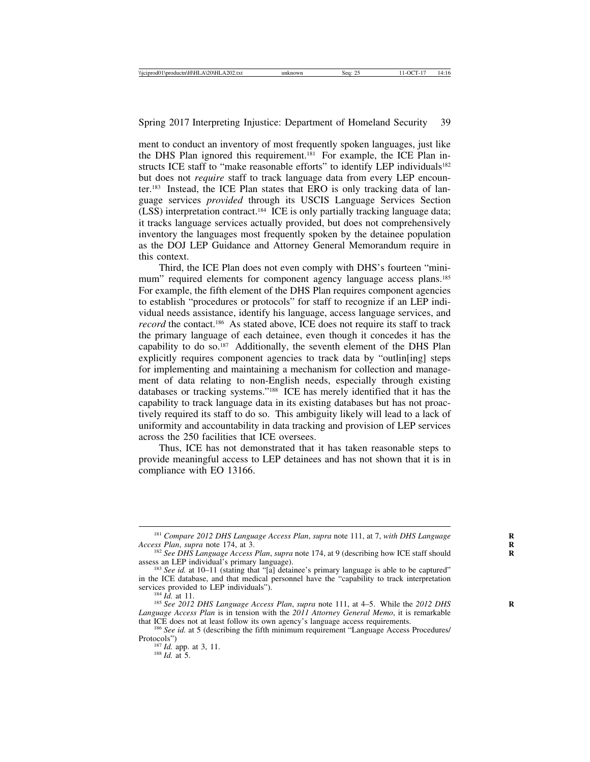ment to conduct an inventory of most frequently spoken languages, just like the DHS Plan ignored this requirement.<sup>181</sup> For example, the ICE Plan instructs ICE staff to "make reasonable efforts" to identify LEP individuals<sup>182</sup> but does not *require* staff to track language data from every LEP encounter.183 Instead, the ICE Plan states that ERO is only tracking data of language services *provided* through its USCIS Language Services Section (LSS) interpretation contract.184 ICE is only partially tracking language data; it tracks language services actually provided, but does not comprehensively inventory the languages most frequently spoken by the detainee population as the DOJ LEP Guidance and Attorney General Memorandum require in this context.

Third, the ICE Plan does not even comply with DHS's fourteen "minimum" required elements for component agency language access plans.<sup>185</sup> For example, the fifth element of the DHS Plan requires component agencies to establish "procedures or protocols" for staff to recognize if an LEP individual needs assistance, identify his language, access language services, and *record* the contact.<sup>186</sup> As stated above, ICE does not require its staff to track the primary language of each detainee, even though it concedes it has the capability to do so.187 Additionally, the seventh element of the DHS Plan explicitly requires component agencies to track data by "outlin[ing] steps for implementing and maintaining a mechanism for collection and management of data relating to non-English needs, especially through existing databases or tracking systems."188 ICE has merely identified that it has the capability to track language data in its existing databases but has not proactively required its staff to do so. This ambiguity likely will lead to a lack of uniformity and accountability in data tracking and provision of LEP services across the 250 facilities that ICE oversees.

Thus, ICE has not demonstrated that it has taken reasonable steps to provide meaningful access to LEP detainees and has not shown that it is in compliance with EO 13166.

<sup>&</sup>lt;sup>181</sup> *Compare 2012 DHS Language Access Plan, supra note 111, at 7, with DHS Language Access Plan, supra note 174, at 3.* 

<sup>&</sup>lt;sup>182</sup> *See DHS Language Access Plan, supra* note 174, at 9 (describing how ICE staff should assess an LEP individual's primary language).

<sup>&</sup>lt;sup>183</sup> See id. at 10–11 (stating that "[a] detainee's primary language is able to be captured" in the ICE database, and that medical personnel have the "capability to track interpretation services provided to LEP individuals").

<sup>&</sup>lt;sup>184</sup> Id. at 11.<br><sup>185</sup> *See 2012 DHS Language Access Plan, supra* note 111, at 4–5. While the *2012 DHS Language Access Plan* is in tension with the 2011 Attorney General Memo, it is remarkable that ICE does not at least follow its own agency's language access requirements.

<sup>&</sup>lt;sup>186</sup> See id. at 5 (describing the fifth minimum requirement "Language Access Procedures/ Protocols") <sup>187</sup> *Id.* app. at 3, 11. <sup>188</sup> *Id.* at 5.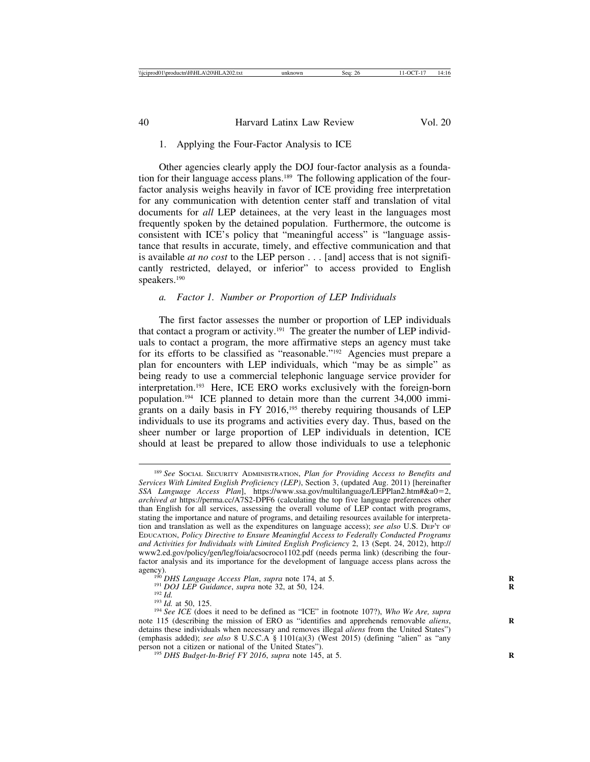#### 1. Applying the Four-Factor Analysis to ICE

Other agencies clearly apply the DOJ four-factor analysis as a foundation for their language access plans.<sup>189</sup> The following application of the fourfactor analysis weighs heavily in favor of ICE providing free interpretation for any communication with detention center staff and translation of vital documents for *all* LEP detainees, at the very least in the languages most frequently spoken by the detained population. Furthermore, the outcome is consistent with ICE's policy that "meaningful access" is "language assistance that results in accurate, timely, and effective communication and that is available *at no cost* to the LEP person . . . [and] access that is not significantly restricted, delayed, or inferior" to access provided to English speakers.190

#### *a. Factor 1. Number or Proportion of LEP Individuals*

The first factor assesses the number or proportion of LEP individuals that contact a program or activity.<sup>191</sup> The greater the number of LEP individuals to contact a program, the more affirmative steps an agency must take for its efforts to be classified as "reasonable."192 Agencies must prepare a plan for encounters with LEP individuals, which "may be as simple" as being ready to use a commercial telephonic language service provider for interpretation.193 Here, ICE ERO works exclusively with the foreign-born population.194 ICE planned to detain more than the current 34,000 immigrants on a daily basis in FY 2016,<sup>195</sup> thereby requiring thousands of LEP individuals to use its programs and activities every day. Thus, based on the sheer number or large proportion of LEP individuals in detention, ICE should at least be prepared to allow those individuals to use a telephonic

<sup>189</sup> *See* SOCIAL SECURITY ADMINISTRATION, *Plan for Providing Access to Benefits and Services With Limited English Proficiency (LEP)*, Section 3, (updated Aug. 2011) [hereinafter *SSA Language Access Plan*], https://www.ssa.gov/multilanguage/LEPPlan2.htm#&a0=2, *archived at* https://perma.cc/A7S2-DPF6 (calculating the top five language preferences other than English for all services, assessing the overall volume of LEP contact with programs, stating the importance and nature of programs, and detailing resources available for interpretation and translation as well as the expenditures on language access); *see also* U.S. DEP'T OF EDUCATION, *Policy Directive to Ensure Meaningful Access to Federally Conducted Programs and Activities for Individuals with Limited English Proficiency* 2, 13 (Sept. 24, 2012), http:// www2.ed.gov/policy/gen/leg/foia/acsocroco1102.pdf (needs perma link) (describing the fourfactor analysis and its importance for the development of language access plans across the agency).<br><sup>190</sup> DHS Language Access Plan, supra note 174, at 5.<br><sup>191</sup> DOJ LEP Guidance, supra note 32, at 50, 124.<br><sup>193</sup> Id. at 50, 125.<br><sup>193</sup> Id. at 50, 125.<br><sup>194</sup> See ICE (does it need to be defined as "ICE" in footnote

note 115 (describing the mission of ERO as "identifies and apprehends removable *aliens*, detains these individuals when necessary and removes illegal *aliens* from the United States") (emphasis added); *see also* 8 U.S.C.A § 1101(a)(3) (West 2015) (defining "alien" as "any

<sup>&</sup>lt;sup>195</sup> DHS Budget-In-Brief FY 2016, *supra* note 145, at 5.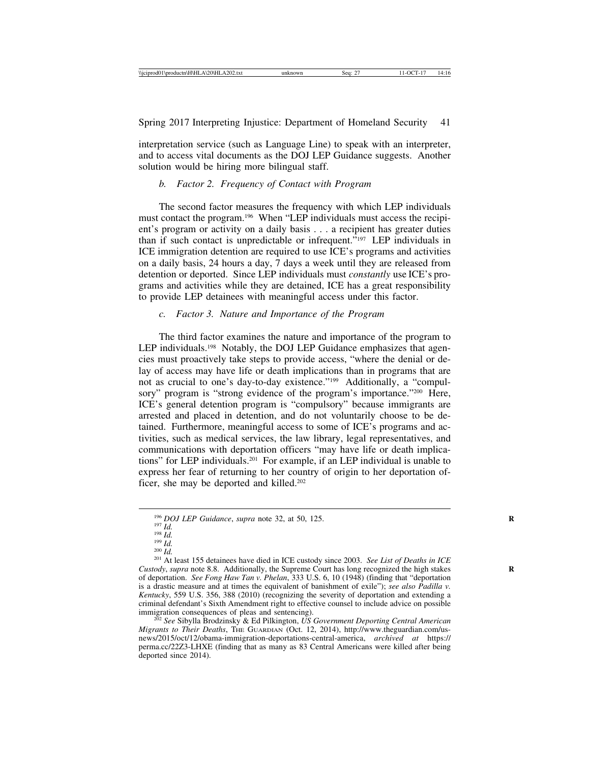interpretation service (such as Language Line) to speak with an interpreter, and to access vital documents as the DOJ LEP Guidance suggests. Another solution would be hiring more bilingual staff.

# *b. Factor 2. Frequency of Contact with Program*

The second factor measures the frequency with which LEP individuals must contact the program.196 When "LEP individuals must access the recipient's program or activity on a daily basis . . . a recipient has greater duties than if such contact is unpredictable or infrequent."197 LEP individuals in ICE immigration detention are required to use ICE's programs and activities on a daily basis, 24 hours a day, 7 days a week until they are released from detention or deported. Since LEP individuals must *constantly* use ICE's programs and activities while they are detained, ICE has a great responsibility to provide LEP detainees with meaningful access under this factor.

# *c. Factor 3. Nature and Importance of the Program*

The third factor examines the nature and importance of the program to LEP individuals.<sup>198</sup> Notably, the DOJ LEP Guidance emphasizes that agencies must proactively take steps to provide access, "where the denial or delay of access may have life or death implications than in programs that are not as crucial to one's day-to-day existence."199 Additionally, a "compulsory" program is "strong evidence of the program's importance."200 Here, ICE's general detention program is "compulsory" because immigrants are arrested and placed in detention, and do not voluntarily choose to be detained. Furthermore, meaningful access to some of ICE's programs and activities, such as medical services, the law library, legal representatives, and communications with deportation officers "may have life or death implications" for LEP individuals.201 For example, if an LEP individual is unable to express her fear of returning to her country of origin to her deportation officer, she may be deported and killed.202

<sup>196</sup> *DOJ LEP Guidance, supra* note 32, at 50, 125.<br><sup>197</sup> *Id.*<br><sup>198</sup> *Id.*<br><sup>199</sup> *Id.*<br><sup>200</sup> *Id.*<br><sup>200</sup> *Id.*<br><sup>201</sup> At least 155 detainees have died in ICE custody since 2003. *See List of Deaths in ICE Custody*, *supra* note 8.8. Additionally, the Supreme Court has long recognized the high stakes **R** of deportation. *See Fong Haw Tan v. Phelan*, 333 U.S. 6, 10 (1948) (finding that "deportation is a drastic measure and at times the equivalent of banishment of exile"); *see also Padilla v. Kentucky*, 559 U.S. 356, 388 (2010) (recognizing the severity of deportation and extending a criminal defendant's Sixth Amendment right to effective counsel to include advice on possible

<sup>202</sup> See Sibylla Brodzinsky & Ed Pilkington, *US Government Deporting Central American Migrants to Their Deaths*, THE GUARDIAN (Oct. 12, 2014), http://www.theguardian.com/usnews/2015/oct/12/obama-immigration-deportations-central-america, *archived at* https:// perma.cc/22Z3-LHXE (finding that as many as 83 Central Americans were killed after being deported since 2014).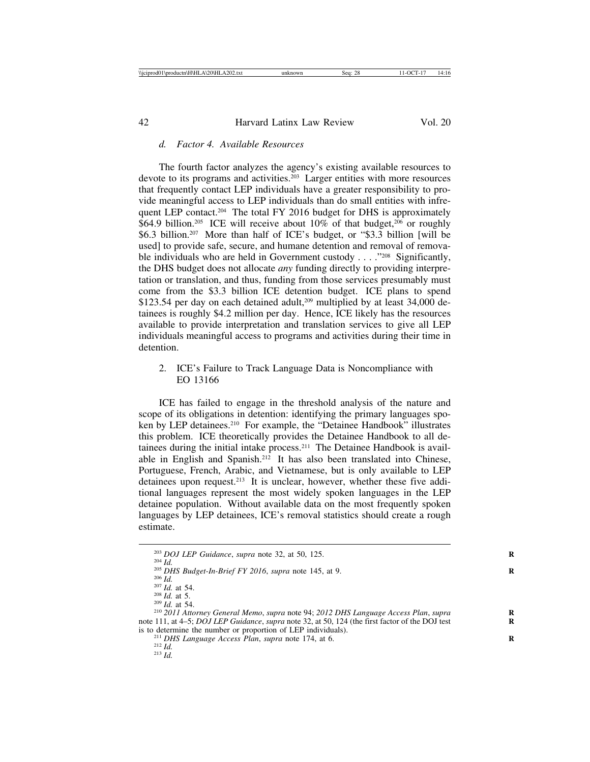# *d. Factor 4. Available Resources*

The fourth factor analyzes the agency's existing available resources to devote to its programs and activities.203 Larger entities with more resources that frequently contact LEP individuals have a greater responsibility to provide meaningful access to LEP individuals than do small entities with infrequent LEP contact.<sup>204</sup> The total FY 2016 budget for DHS is approximately  $$64.9$  billion.<sup>205</sup> ICE will receive about 10% of that budget,<sup>206</sup> or roughly \$6.3 billion.207 More than half of ICE's budget, or "\$3.3 billion [will be used] to provide safe, secure, and humane detention and removal of removable individuals who are held in Government custody . . . . "<sup>208</sup> Significantly, the DHS budget does not allocate *any* funding directly to providing interpretation or translation, and thus, funding from those services presumably must come from the \$3.3 billion ICE detention budget. ICE plans to spend \$123.54 per day on each detained adult,<sup>209</sup> multiplied by at least 34,000 detainees is roughly \$4.2 million per day. Hence, ICE likely has the resources available to provide interpretation and translation services to give all LEP individuals meaningful access to programs and activities during their time in detention.

## 2. ICE's Failure to Track Language Data is Noncompliance with EO 13166

ICE has failed to engage in the threshold analysis of the nature and scope of its obligations in detention: identifying the primary languages spoken by LEP detainees.<sup>210</sup> For example, the "Detainee Handbook" illustrates this problem. ICE theoretically provides the Detainee Handbook to all detainees during the initial intake process.211 The Detainee Handbook is available in English and Spanish.212 It has also been translated into Chinese, Portuguese, French, Arabic, and Vietnamese, but is only available to LEP detainees upon request.213 It is unclear, however, whether these five additional languages represent the most widely spoken languages in the LEP detainee population. Without available data on the most frequently spoken languages by LEP detainees, ICE's removal statistics should create a rough estimate.

<sup>&</sup>lt;sup>203</sup> *DOJ LEP Guidance, supra* note 32, at 50, 125.<br><sup>204</sup> *Id.*<br><sup>206</sup> *DHS Budget-In-Brief FY 2016, supra* note 145, at 9.<br><sup>207</sup> *Id.* at 54.<br><sup>207</sup> *Id.* at 54.<br><sup>207</sup> *Id.* at 54.<br><sup>208</sup> *Id.* at 54.<br><sup>208</sup> *Id.* at 54.<br><sup>2</sup> note 111, at 4–5; *DOJ LEP Guidance*, *supra* note 32, at 50, 124 (the first factor of the DOJ test is to determine the number or proportion of LEP individuals).

<sup>&</sup>lt;sup>211</sup> *DHS Language Access Plan, supra* note 174, at 6. <sup>212</sup> *Id. RIA Id.* 213 *Id.* 213 *Id.* 213 *Id.* 213 *Id.* 213 *Id.* 213 *Id.* 213 *Z* 21*2 Id.* 213 *Z* 21*2 Id.* 213 *Z* 21*2 Z* 21*2 Z* 21*2 Z* 21*2*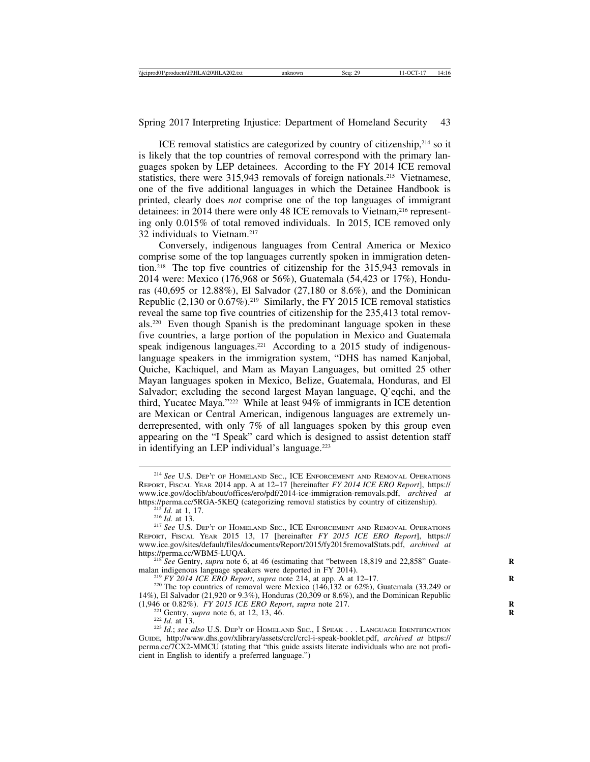ICE removal statistics are categorized by country of citizenship,214 so it is likely that the top countries of removal correspond with the primary languages spoken by LEP detainees. According to the FY 2014 ICE removal statistics, there were 315,943 removals of foreign nationals.<sup>215</sup> Vietnamese, one of the five additional languages in which the Detainee Handbook is printed, clearly does *not* comprise one of the top languages of immigrant detainees: in 2014 there were only 48 ICE removals to Vietnam,<sup>216</sup> representing only 0.015% of total removed individuals. In 2015, ICE removed only 32 individuals to Vietnam.217

Conversely, indigenous languages from Central America or Mexico comprise some of the top languages currently spoken in immigration detention.218 The top five countries of citizenship for the 315,943 removals in 2014 were: Mexico (176,968 or 56%), Guatemala (54,423 or 17%), Honduras (40,695 or 12.88%), El Salvador (27,180 or 8.6%), and the Dominican Republic (2,130 or 0.67%).219 Similarly, the FY 2015 ICE removal statistics reveal the same top five countries of citizenship for the 235,413 total removals.220 Even though Spanish is the predominant language spoken in these five countries, a large portion of the population in Mexico and Guatemala speak indigenous languages.<sup>221</sup> According to a 2015 study of indigenouslanguage speakers in the immigration system, "DHS has named Kanjobal, Quiche, Kachiquel, and Mam as Mayan Languages, but omitted 25 other Mayan languages spoken in Mexico, Belize, Guatemala, Honduras, and El Salvador; excluding the second largest Mayan language, Q'eqchi, and the third, Yucatec Maya."222 While at least 94% of immigrants in ICE detention are Mexican or Central American, indigenous languages are extremely underrepresented, with only 7% of all languages spoken by this group even appearing on the "I Speak" card which is designed to assist detention staff in identifying an LEP individual's language.<sup>223</sup>

<sup>218</sup> *See* Gentry, *supra* note 6, at 46 (estimating that "between 18,819 and 22,858" Guate-malan indigenous language speakers were deported in FY 2014).

<sup>219</sup> FY 2014 ICE ERO Report, supra note 214, at app. A at 12–17.<br><sup>220</sup> The top countries of removal were Mexico (146,132 or 62%), Guatemala (33,249 or 14%), El Salvador (21,920 or 9.3%), Honduras (20,309 or 8.6%), and the Dominican Republic (1,946 or 0.82%). FY 2015 ICE ERO Report, supra note 217.

<sup>214</sup> *See* U.S. DEP'T OF HOMELAND SEC., ICE ENFORCEMENT AND REMOVAL OPERATIONS REPORT, FISCAL YEAR 2014 app. A at 12–17 [hereinafter *FY 2014 ICE ERO Report*], https:// www.ice.gov/doclib/about/offices/ero/pdf/2014-ice-immigration-removals.pdf, *archived at*

<sup>&</sup>lt;sup>215</sup>*Id.* at 1, 17.<br><sup>216</sup>*Id.* at 13.<br><sup>217</sup> *See* U.S. Dep't of Homeland Sec., ICE ENFORCEMENT AND REMOVAL OPERATIONS REPORT, FISCAL YEAR 2015 13, 17 [hereinafter *FY 2015 ICE ERO Report*], https:// www.ice.gov/sites/default/files/documents/Report/2015/fy2015removalStats.pdf, *archived at*

<sup>&</sup>lt;sup>221</sup> Gentry, *supra* note 6, at 12, 13, 46.<br><sup>222</sup> Id. at 13.<br><sup>223</sup> Id.; *see also* U.S. Dep't of HOMELAND SEC., I SPEAK . . . LANGUAGE IDENTIFICATION GUIDE, http://www.dhs.gov/xlibrary/assets/crcl/crcl-i-speak-booklet.pdf, *archived at* https:// perma.cc/7CX2-MMCU (stating that "this guide assists literate individuals who are not proficient in English to identify a preferred language.")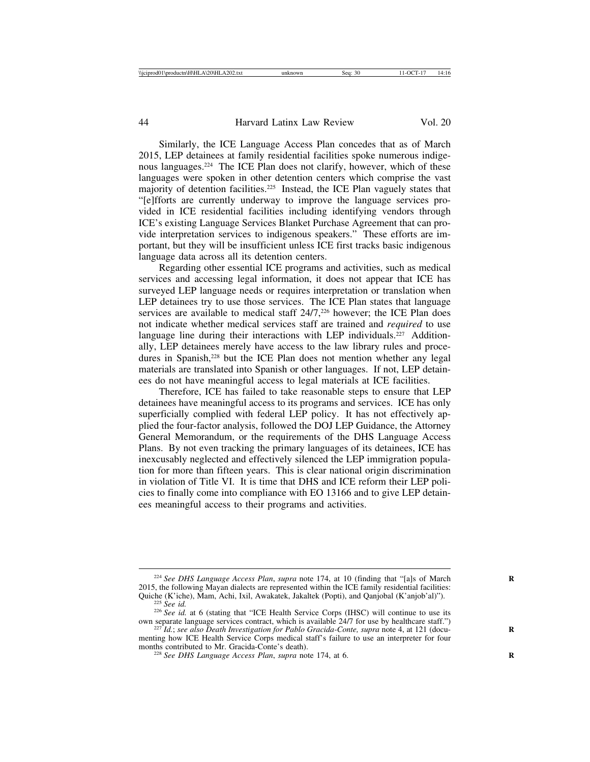Similarly, the ICE Language Access Plan concedes that as of March 2015, LEP detainees at family residential facilities spoke numerous indigenous languages.224 The ICE Plan does not clarify, however, which of these languages were spoken in other detention centers which comprise the vast majority of detention facilities.225 Instead, the ICE Plan vaguely states that "[e]fforts are currently underway to improve the language services provided in ICE residential facilities including identifying vendors through ICE's existing Language Services Blanket Purchase Agreement that can provide interpretation services to indigenous speakers." These efforts are important, but they will be insufficient unless ICE first tracks basic indigenous language data across all its detention centers.

Regarding other essential ICE programs and activities, such as medical services and accessing legal information, it does not appear that ICE has surveyed LEP language needs or requires interpretation or translation when LEP detainees try to use those services. The ICE Plan states that language services are available to medical staff  $24/7$ ,<sup>226</sup> however; the ICE Plan does not indicate whether medical services staff are trained and *required* to use language line during their interactions with LEP individuals.<sup> $227$ </sup> Additionally, LEP detainees merely have access to the law library rules and procedures in Spanish,<sup>228</sup> but the ICE Plan does not mention whether any legal materials are translated into Spanish or other languages. If not, LEP detainees do not have meaningful access to legal materials at ICE facilities.

Therefore, ICE has failed to take reasonable steps to ensure that LEP detainees have meaningful access to its programs and services. ICE has only superficially complied with federal LEP policy. It has not effectively applied the four-factor analysis, followed the DOJ LEP Guidance, the Attorney General Memorandum, or the requirements of the DHS Language Access Plans. By not even tracking the primary languages of its detainees, ICE has inexcusably neglected and effectively silenced the LEP immigration population for more than fifteen years. This is clear national origin discrimination in violation of Title VI. It is time that DHS and ICE reform their LEP policies to finally come into compliance with EO 13166 and to give LEP detainees meaningful access to their programs and activities.

<sup>&</sup>lt;sup>224</sup> See DHS Language Access Plan, *supra* note 174, at 10 (finding that "[a]s of March 2015, the following Mayan dialects are represented within the ICE family residential facilities:<br>Quiche (K'iche), Mam, Achi, Ixil, Awakatek, Jakaltek (Popti), and Qanjobal (K'anjob'al)").

<sup>&</sup>lt;sup>225</sup> *See id.* at 6 (stating that "ICE Health Service Corps (IHSC) will continue to use its own separate language services contract, which is available 24/7 for use by healthcare staff.")

<sup>&</sup>lt;sup>227</sup> Id.; see also Death Investigation for Pablo Gracida-Conte, supra note 4, at 121 (documenting how ICE Health Service Corps medical staff's failure to use an interpreter for four months contributed to Mr. Gracida-Conte's death).

<sup>&</sup>lt;sup>228</sup> See DHS Language Access Plan, *supra* note 174, at 6.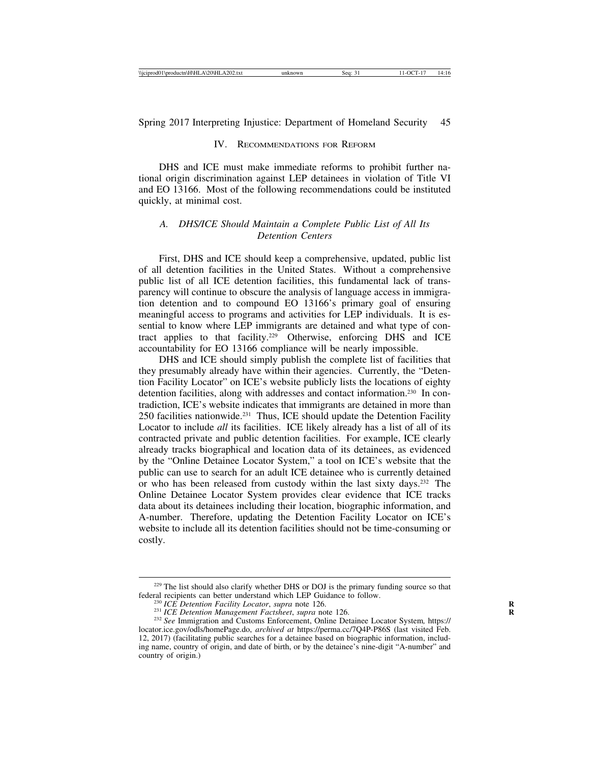# IV. RECOMMENDATIONS FOR REFORM

DHS and ICE must make immediate reforms to prohibit further national origin discrimination against LEP detainees in violation of Title VI and EO 13166. Most of the following recommendations could be instituted quickly, at minimal cost.

# *A. DHS/ICE Should Maintain a Complete Public List of All Its Detention Centers*

First, DHS and ICE should keep a comprehensive, updated, public list of all detention facilities in the United States. Without a comprehensive public list of all ICE detention facilities, this fundamental lack of transparency will continue to obscure the analysis of language access in immigration detention and to compound EO 13166's primary goal of ensuring meaningful access to programs and activities for LEP individuals. It is essential to know where LEP immigrants are detained and what type of contract applies to that facility.229 Otherwise, enforcing DHS and ICE accountability for EO 13166 compliance will be nearly impossible.

DHS and ICE should simply publish the complete list of facilities that they presumably already have within their agencies. Currently, the "Detention Facility Locator" on ICE's website publicly lists the locations of eighty detention facilities, along with addresses and contact information.230 In contradiction, ICE's website indicates that immigrants are detained in more than 250 facilities nationwide.231 Thus, ICE should update the Detention Facility Locator to include *all* its facilities. ICE likely already has a list of all of its contracted private and public detention facilities. For example, ICE clearly already tracks biographical and location data of its detainees, as evidenced by the "Online Detainee Locator System," a tool on ICE's website that the public can use to search for an adult ICE detainee who is currently detained or who has been released from custody within the last sixty days.232 The Online Detainee Locator System provides clear evidence that ICE tracks data about its detainees including their location, biographic information, and A-number. Therefore, updating the Detention Facility Locator on ICE's website to include all its detention facilities should not be time-consuming or costly.

 $229$  The list should also clarify whether DHS or DOJ is the primary funding source so that federal recipients can better understand which LEP Guidance to follow.

<sup>&</sup>lt;sup>230</sup> ICE Detention Facility Locator, supra note 126.<br><sup>231</sup> ICE Detention Management Factsheet, supra note 126.<br><sup>232</sup> See Immigration and Customs Enforcement, Online Detainee Locator System, https:// locator.ice.gov/odls/homePage.do, *archived at* https://perma.cc/7Q4P-P86S (last visited Feb. 12, 2017) (facilitating public searches for a detainee based on biographic information, including name, country of origin, and date of birth, or by the detainee's nine-digit "A-number" and country of origin.)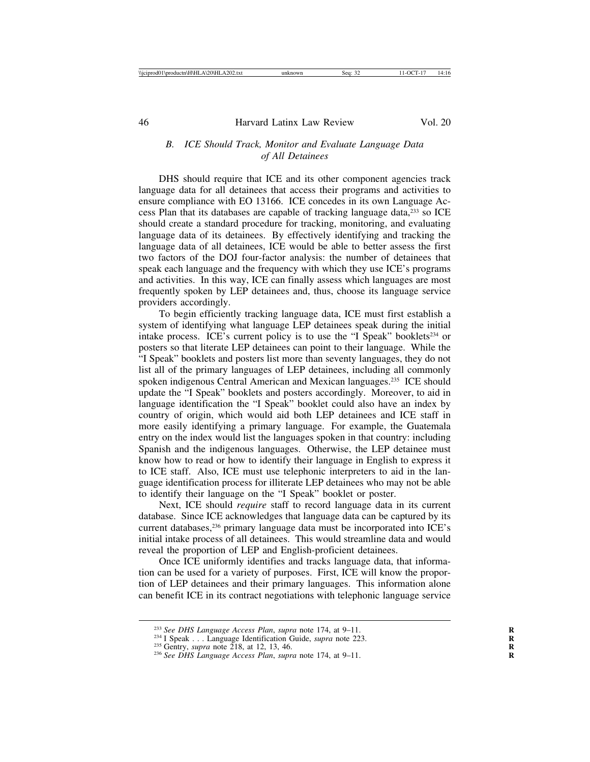## *B. ICE Should Track, Monitor and Evaluate Language Data of All Detainees*

DHS should require that ICE and its other component agencies track language data for all detainees that access their programs and activities to ensure compliance with EO 13166. ICE concedes in its own Language Access Plan that its databases are capable of tracking language data,233 so ICE should create a standard procedure for tracking, monitoring, and evaluating language data of its detainees. By effectively identifying and tracking the language data of all detainees, ICE would be able to better assess the first two factors of the DOJ four-factor analysis: the number of detainees that speak each language and the frequency with which they use ICE's programs and activities. In this way, ICE can finally assess which languages are most frequently spoken by LEP detainees and, thus, choose its language service providers accordingly.

To begin efficiently tracking language data, ICE must first establish a system of identifying what language LEP detainees speak during the initial intake process. ICE's current policy is to use the "I Speak" booklets<sup>234</sup> or posters so that literate LEP detainees can point to their language. While the "I Speak" booklets and posters list more than seventy languages, they do not list all of the primary languages of LEP detainees, including all commonly spoken indigenous Central American and Mexican languages.<sup>235</sup> ICE should update the "I Speak" booklets and posters accordingly. Moreover, to aid in language identification the "I Speak" booklet could also have an index by country of origin, which would aid both LEP detainees and ICE staff in more easily identifying a primary language. For example, the Guatemala entry on the index would list the languages spoken in that country: including Spanish and the indigenous languages. Otherwise, the LEP detainee must know how to read or how to identify their language in English to express it to ICE staff. Also, ICE must use telephonic interpreters to aid in the language identification process for illiterate LEP detainees who may not be able to identify their language on the "I Speak" booklet or poster.

Next, ICE should *require* staff to record language data in its current database. Since ICE acknowledges that language data can be captured by its current databases,<sup>236</sup> primary language data must be incorporated into ICE's initial intake process of all detainees. This would streamline data and would reveal the proportion of LEP and English-proficient detainees.

Once ICE uniformly identifies and tracks language data, that information can be used for a variety of purposes. First, ICE will know the proportion of LEP detainees and their primary languages. This information alone can benefit ICE in its contract negotiations with telephonic language service

<sup>&</sup>lt;sup>233</sup> See DHS Language Access Plan, supra note 174, at 9–11.<br><sup>234</sup> I Speak . . . Language Identification Guide, *supra* note 223.<br><sup>235</sup> Gentry, *supra* note 218, at 12, 13, 46.<br><sup>236</sup> See DHS Language Access Plan, *supra*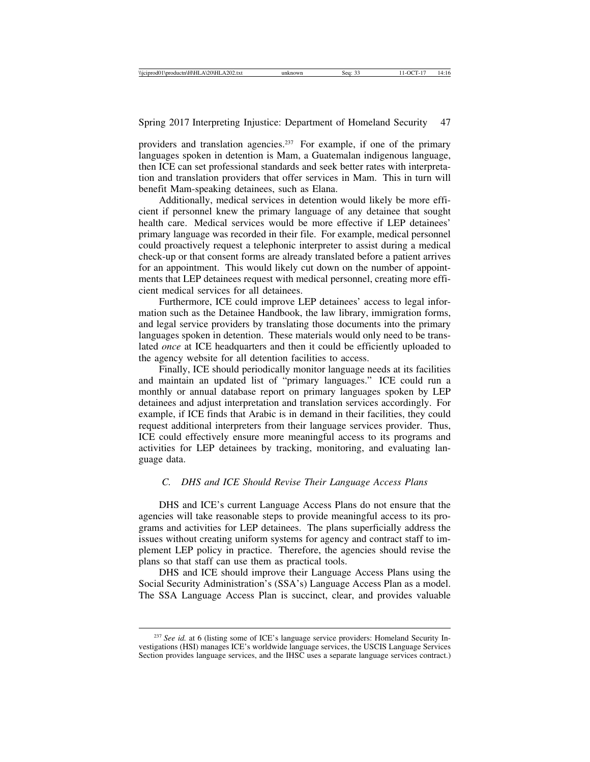providers and translation agencies.<sup>237</sup> For example, if one of the primary languages spoken in detention is Mam, a Guatemalan indigenous language, then ICE can set professional standards and seek better rates with interpretation and translation providers that offer services in Mam. This in turn will benefit Mam-speaking detainees, such as Elana.

Additionally, medical services in detention would likely be more efficient if personnel knew the primary language of any detainee that sought health care. Medical services would be more effective if LEP detainees' primary language was recorded in their file. For example, medical personnel could proactively request a telephonic interpreter to assist during a medical check-up or that consent forms are already translated before a patient arrives for an appointment. This would likely cut down on the number of appointments that LEP detainees request with medical personnel, creating more efficient medical services for all detainees.

Furthermore, ICE could improve LEP detainees' access to legal information such as the Detainee Handbook, the law library, immigration forms, and legal service providers by translating those documents into the primary languages spoken in detention. These materials would only need to be translated *once* at ICE headquarters and then it could be efficiently uploaded to the agency website for all detention facilities to access.

Finally, ICE should periodically monitor language needs at its facilities and maintain an updated list of "primary languages." ICE could run a monthly or annual database report on primary languages spoken by LEP detainees and adjust interpretation and translation services accordingly. For example, if ICE finds that Arabic is in demand in their facilities, they could request additional interpreters from their language services provider. Thus, ICE could effectively ensure more meaningful access to its programs and activities for LEP detainees by tracking, monitoring, and evaluating language data.

# *C. DHS and ICE Should Revise Their Language Access Plans*

DHS and ICE's current Language Access Plans do not ensure that the agencies will take reasonable steps to provide meaningful access to its programs and activities for LEP detainees. The plans superficially address the issues without creating uniform systems for agency and contract staff to implement LEP policy in practice. Therefore, the agencies should revise the plans so that staff can use them as practical tools.

DHS and ICE should improve their Language Access Plans using the Social Security Administration's (SSA's) Language Access Plan as a model. The SSA Language Access Plan is succinct, clear, and provides valuable

<sup>&</sup>lt;sup>237</sup> See id. at 6 (listing some of ICE's language service providers: Homeland Security Investigations (HSI) manages ICE's worldwide language services, the USCIS Language Services Section provides language services, and the IHSC uses a separate language services contract.)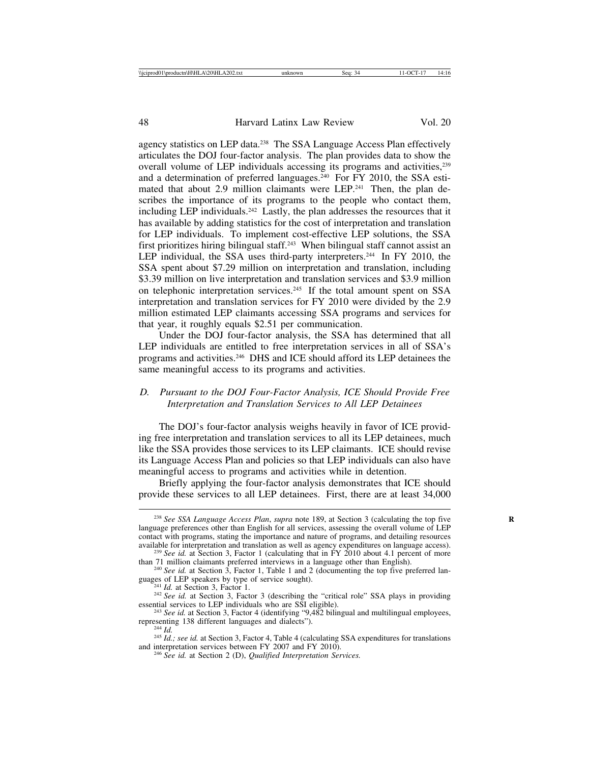agency statistics on LEP data.238 The SSA Language Access Plan effectively articulates the DOJ four-factor analysis. The plan provides data to show the overall volume of LEP individuals accessing its programs and activities,<sup>239</sup> and a determination of preferred languages.<sup>240</sup> For FY 2010, the SSA estimated that about 2.9 million claimants were LEP.<sup>241</sup> Then, the plan describes the importance of its programs to the people who contact them, including LEP individuals.242 Lastly, the plan addresses the resources that it has available by adding statistics for the cost of interpretation and translation for LEP individuals. To implement cost-effective LEP solutions, the SSA first prioritizes hiring bilingual staff.243 When bilingual staff cannot assist an LEP individual, the SSA uses third-party interpreters.<sup>244</sup> In FY 2010, the SSA spent about \$7.29 million on interpretation and translation, including \$3.39 million on live interpretation and translation services and \$3.9 million on telephonic interpretation services.245 If the total amount spent on SSA interpretation and translation services for FY 2010 were divided by the 2.9 million estimated LEP claimants accessing SSA programs and services for that year, it roughly equals \$2.51 per communication.

Under the DOJ four-factor analysis, the SSA has determined that all LEP individuals are entitled to free interpretation services in all of SSA's programs and activities.246 DHS and ICE should afford its LEP detainees the same meaningful access to its programs and activities.

## *D. Pursuant to the DOJ Four-Factor Analysis, ICE Should Provide Free Interpretation and Translation Services to All LEP Detainees*

The DOJ's four-factor analysis weighs heavily in favor of ICE providing free interpretation and translation services to all its LEP detainees, much like the SSA provides those services to its LEP claimants. ICE should revise its Language Access Plan and policies so that LEP individuals can also have meaningful access to programs and activities while in detention.

Briefly applying the four-factor analysis demonstrates that ICE should provide these services to all LEP detainees. First, there are at least 34,000

<sup>238</sup> *See SSA Language Access Plan*, *supra* note 189, at Section 3 (calculating the top five **R** language preferences other than English for all services, assessing the overall volume of LEP contact with programs, stating the importance and nature of programs, and detailing resources available for interpretation and translation as well as agency expenditures on language access).

<sup>&</sup>lt;sup>239</sup> *See id.* at Section 3, Factor 1 (calculating that in FY 2010 about 4.1 percent of more than 71 million claimants preferred interviews in a language other than English).

<sup>&</sup>lt;sup>240</sup> *See id.* at Section 3, Factor 1, Table 1 and 2 (documenting the top five preferred languages of LEP speakers by type of service sought).

<sup>&</sup>lt;sup>241</sup> *Id.* at Section 3, Factor 1.<br><sup>242</sup> *See id.* at Section 3, Factor 3 (describing the "critical role" SSA plays in providing essential services to LEP individuals who are SSI eligible).

<sup>&</sup>lt;sup>243</sup> *See id.* at Section 3, Factor 4 (identifying "9,482 bilingual and multilingual employees, representing 138 different languages and dialects").

<sup>&</sup>lt;sup>244</sup> *Id.* <sup>245</sup> *Id.*; *see id.* at Section 3, Factor 4, Table 4 (calculating SSA expenditures for translations and interpretation services between FY 2007 and FY 2010).

<sup>&</sup>lt;sup>246</sup> See id. at Section 2 (D), *Qualified Interpretation Services*.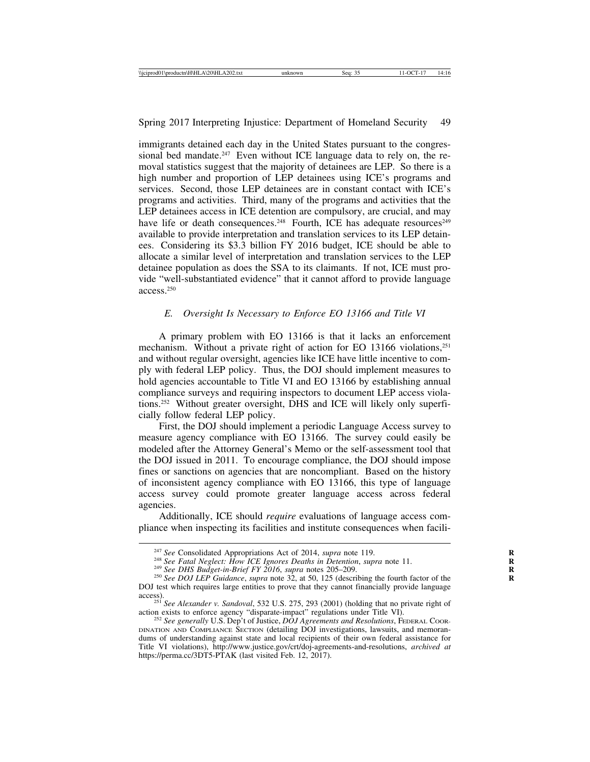immigrants detained each day in the United States pursuant to the congressional bed mandate.<sup>247</sup> Even without ICE language data to rely on, the removal statistics suggest that the majority of detainees are LEP. So there is a high number and proportion of LEP detainees using ICE's programs and services. Second, those LEP detainees are in constant contact with ICE's programs and activities. Third, many of the programs and activities that the LEP detainees access in ICE detention are compulsory, are crucial, and may have life or death consequences.<sup>248</sup> Fourth, ICE has adequate resources<sup>249</sup> available to provide interpretation and translation services to its LEP detainees. Considering its \$3.3 billion FY 2016 budget, ICE should be able to allocate a similar level of interpretation and translation services to the LEP detainee population as does the SSA to its claimants. If not, ICE must provide "well-substantiated evidence" that it cannot afford to provide language access.250

# *E. Oversight Is Necessary to Enforce EO 13166 and Title VI*

A primary problem with EO 13166 is that it lacks an enforcement mechanism. Without a private right of action for EO 13166 violations,<sup>251</sup> and without regular oversight, agencies like ICE have little incentive to comply with federal LEP policy. Thus, the DOJ should implement measures to hold agencies accountable to Title VI and EO 13166 by establishing annual compliance surveys and requiring inspectors to document LEP access violations.252 Without greater oversight, DHS and ICE will likely only superficially follow federal LEP policy.

First, the DOJ should implement a periodic Language Access survey to measure agency compliance with EO 13166. The survey could easily be modeled after the Attorney General's Memo or the self-assessment tool that the DOJ issued in 2011. To encourage compliance, the DOJ should impose fines or sanctions on agencies that are noncompliant. Based on the history of inconsistent agency compliance with EO 13166, this type of language access survey could promote greater language access across federal agencies.

Additionally, ICE should *require* evaluations of language access compliance when inspecting its facilities and institute consequences when facili-

<sup>&</sup>lt;sup>247</sup> See Consolidated Appropriations Act of 2014, *supra* note 119.<br><sup>248</sup> See Fatal Neglect: How ICE Ignores Deaths in Detention, *supra* note 11.<br><sup>249</sup> See DHS Budget-in-Brief FY 2016, *supra* notes 205–209.<br><sup>250</sup> See DO DOJ test which requires large entities to prove that they cannot financially provide language

access). <sup>251</sup> *See Alexander v. Sandoval*, 532 U.S. 275, 293 (2001) (holding that no private right of action exists to enforce agency "disparate-impact" regulations under Title VI).

<sup>&</sup>lt;sup>252</sup> See generally U.S. Dep't of Justice, *DOJ Agreements and Resolutions*, FEDERAL COOR-DINATION AND COMPLIANCE SECTION (detailing DOJ investigations, lawsuits, and memorandums of understanding against state and local recipients of their own federal assistance for Title VI violations), http://www.justice.gov/crt/doj-agreements-and-resolutions, *archived at* https://perma.cc/3DT5-PTAK (last visited Feb. 12, 2017).